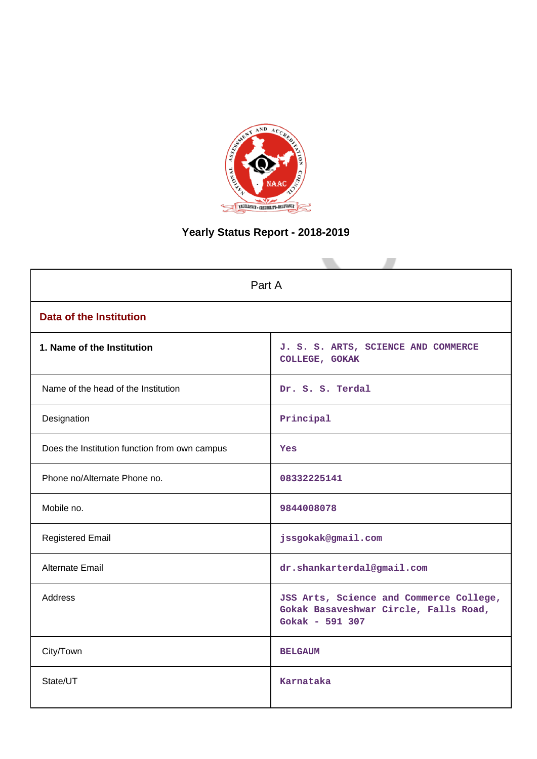

# **Yearly Status Report - 2018-2019**

|                                               | Part A                                                                                              |  |  |  |  |  |  |  |  |
|-----------------------------------------------|-----------------------------------------------------------------------------------------------------|--|--|--|--|--|--|--|--|
| <b>Data of the Institution</b>                |                                                                                                     |  |  |  |  |  |  |  |  |
| 1. Name of the Institution                    | J. S. S. ARTS, SCIENCE AND COMMERCE<br>COLLEGE, GOKAK                                               |  |  |  |  |  |  |  |  |
| Name of the head of the Institution           | Dr. S. S. Terdal                                                                                    |  |  |  |  |  |  |  |  |
| Designation                                   | Principal                                                                                           |  |  |  |  |  |  |  |  |
| Does the Institution function from own campus | Yes                                                                                                 |  |  |  |  |  |  |  |  |
| Phone no/Alternate Phone no.                  | 08332225141                                                                                         |  |  |  |  |  |  |  |  |
| Mobile no.                                    | 9844008078                                                                                          |  |  |  |  |  |  |  |  |
| <b>Registered Email</b>                       | jssgokak@gmail.com                                                                                  |  |  |  |  |  |  |  |  |
| Alternate Email                               | dr.shankarterdal@gmail.com                                                                          |  |  |  |  |  |  |  |  |
| <b>Address</b>                                | JSS Arts, Science and Commerce College,<br>Gokak Basaveshwar Circle, Falls Road,<br>Gokak - 591 307 |  |  |  |  |  |  |  |  |
| City/Town                                     | <b>BELGAUM</b>                                                                                      |  |  |  |  |  |  |  |  |
| State/UT                                      | Karnataka                                                                                           |  |  |  |  |  |  |  |  |
|                                               |                                                                                                     |  |  |  |  |  |  |  |  |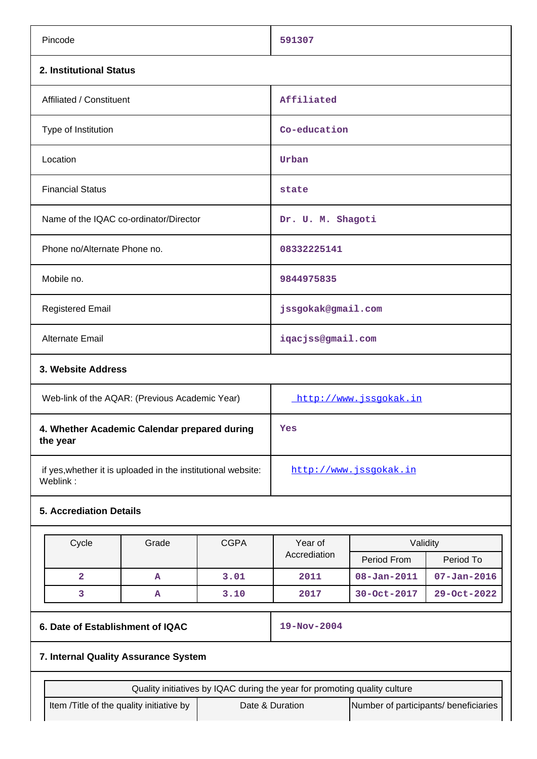| 2. Institutional Status<br>Affiliated / Constituent<br>Affiliated<br>Type of Institution<br>Co-education<br>Location<br>Urban<br><b>Financial Status</b><br>state<br>Name of the IQAC co-ordinator/Director<br>Dr. U. M. Shagoti<br>Phone no/Alternate Phone no.<br>08332225141<br>Mobile no.<br>9844975835<br><b>Registered Email</b><br>jssgokak@gmail.com<br>iqacjss@gmail.com<br><b>Alternate Email</b><br>3. Website Address<br>Web-link of the AQAR: (Previous Academic Year)<br>http://www.jssgokak.in<br>4. Whether Academic Calendar prepared during<br>Yes<br>the year<br>if yes, whether it is uploaded in the institutional website:<br>http://www.jssgokak.in<br>Weblink:<br><b>5. Accrediation Details</b><br>Cycle<br><b>CGPA</b><br>Year of<br>Grade<br>Validity<br>Accrediation<br>Period To<br>Period From<br>$\overline{2}$<br>3.01<br>$08 - Jan - 2011$<br>2011<br>$07 - Jan - 2016$<br>A<br>3<br>3.10<br>30-Oct-2017<br>29-Oct-2022<br>2017<br>A<br>6. Date of Establishment of IQAC<br>19-Nov-2004<br>7. Internal Quality Assurance System<br>Quality initiatives by IQAC during the year for promoting quality culture<br>Number of participants/ beneficiaries<br>Item /Title of the quality initiative by<br>Date & Duration | Pincode |  |  | 591307 |  |  |  |  |  |
|-------------------------------------------------------------------------------------------------------------------------------------------------------------------------------------------------------------------------------------------------------------------------------------------------------------------------------------------------------------------------------------------------------------------------------------------------------------------------------------------------------------------------------------------------------------------------------------------------------------------------------------------------------------------------------------------------------------------------------------------------------------------------------------------------------------------------------------------------------------------------------------------------------------------------------------------------------------------------------------------------------------------------------------------------------------------------------------------------------------------------------------------------------------------------------------------------------------------------------------------------------|---------|--|--|--------|--|--|--|--|--|
|                                                                                                                                                                                                                                                                                                                                                                                                                                                                                                                                                                                                                                                                                                                                                                                                                                                                                                                                                                                                                                                                                                                                                                                                                                                       |         |  |  |        |  |  |  |  |  |
|                                                                                                                                                                                                                                                                                                                                                                                                                                                                                                                                                                                                                                                                                                                                                                                                                                                                                                                                                                                                                                                                                                                                                                                                                                                       |         |  |  |        |  |  |  |  |  |
|                                                                                                                                                                                                                                                                                                                                                                                                                                                                                                                                                                                                                                                                                                                                                                                                                                                                                                                                                                                                                                                                                                                                                                                                                                                       |         |  |  |        |  |  |  |  |  |
|                                                                                                                                                                                                                                                                                                                                                                                                                                                                                                                                                                                                                                                                                                                                                                                                                                                                                                                                                                                                                                                                                                                                                                                                                                                       |         |  |  |        |  |  |  |  |  |
|                                                                                                                                                                                                                                                                                                                                                                                                                                                                                                                                                                                                                                                                                                                                                                                                                                                                                                                                                                                                                                                                                                                                                                                                                                                       |         |  |  |        |  |  |  |  |  |
|                                                                                                                                                                                                                                                                                                                                                                                                                                                                                                                                                                                                                                                                                                                                                                                                                                                                                                                                                                                                                                                                                                                                                                                                                                                       |         |  |  |        |  |  |  |  |  |
|                                                                                                                                                                                                                                                                                                                                                                                                                                                                                                                                                                                                                                                                                                                                                                                                                                                                                                                                                                                                                                                                                                                                                                                                                                                       |         |  |  |        |  |  |  |  |  |
|                                                                                                                                                                                                                                                                                                                                                                                                                                                                                                                                                                                                                                                                                                                                                                                                                                                                                                                                                                                                                                                                                                                                                                                                                                                       |         |  |  |        |  |  |  |  |  |
|                                                                                                                                                                                                                                                                                                                                                                                                                                                                                                                                                                                                                                                                                                                                                                                                                                                                                                                                                                                                                                                                                                                                                                                                                                                       |         |  |  |        |  |  |  |  |  |
|                                                                                                                                                                                                                                                                                                                                                                                                                                                                                                                                                                                                                                                                                                                                                                                                                                                                                                                                                                                                                                                                                                                                                                                                                                                       |         |  |  |        |  |  |  |  |  |
|                                                                                                                                                                                                                                                                                                                                                                                                                                                                                                                                                                                                                                                                                                                                                                                                                                                                                                                                                                                                                                                                                                                                                                                                                                                       |         |  |  |        |  |  |  |  |  |
|                                                                                                                                                                                                                                                                                                                                                                                                                                                                                                                                                                                                                                                                                                                                                                                                                                                                                                                                                                                                                                                                                                                                                                                                                                                       |         |  |  |        |  |  |  |  |  |
|                                                                                                                                                                                                                                                                                                                                                                                                                                                                                                                                                                                                                                                                                                                                                                                                                                                                                                                                                                                                                                                                                                                                                                                                                                                       |         |  |  |        |  |  |  |  |  |
|                                                                                                                                                                                                                                                                                                                                                                                                                                                                                                                                                                                                                                                                                                                                                                                                                                                                                                                                                                                                                                                                                                                                                                                                                                                       |         |  |  |        |  |  |  |  |  |
|                                                                                                                                                                                                                                                                                                                                                                                                                                                                                                                                                                                                                                                                                                                                                                                                                                                                                                                                                                                                                                                                                                                                                                                                                                                       |         |  |  |        |  |  |  |  |  |
|                                                                                                                                                                                                                                                                                                                                                                                                                                                                                                                                                                                                                                                                                                                                                                                                                                                                                                                                                                                                                                                                                                                                                                                                                                                       |         |  |  |        |  |  |  |  |  |
|                                                                                                                                                                                                                                                                                                                                                                                                                                                                                                                                                                                                                                                                                                                                                                                                                                                                                                                                                                                                                                                                                                                                                                                                                                                       |         |  |  |        |  |  |  |  |  |
|                                                                                                                                                                                                                                                                                                                                                                                                                                                                                                                                                                                                                                                                                                                                                                                                                                                                                                                                                                                                                                                                                                                                                                                                                                                       |         |  |  |        |  |  |  |  |  |
|                                                                                                                                                                                                                                                                                                                                                                                                                                                                                                                                                                                                                                                                                                                                                                                                                                                                                                                                                                                                                                                                                                                                                                                                                                                       |         |  |  |        |  |  |  |  |  |
|                                                                                                                                                                                                                                                                                                                                                                                                                                                                                                                                                                                                                                                                                                                                                                                                                                                                                                                                                                                                                                                                                                                                                                                                                                                       |         |  |  |        |  |  |  |  |  |
|                                                                                                                                                                                                                                                                                                                                                                                                                                                                                                                                                                                                                                                                                                                                                                                                                                                                                                                                                                                                                                                                                                                                                                                                                                                       |         |  |  |        |  |  |  |  |  |
|                                                                                                                                                                                                                                                                                                                                                                                                                                                                                                                                                                                                                                                                                                                                                                                                                                                                                                                                                                                                                                                                                                                                                                                                                                                       |         |  |  |        |  |  |  |  |  |
|                                                                                                                                                                                                                                                                                                                                                                                                                                                                                                                                                                                                                                                                                                                                                                                                                                                                                                                                                                                                                                                                                                                                                                                                                                                       |         |  |  |        |  |  |  |  |  |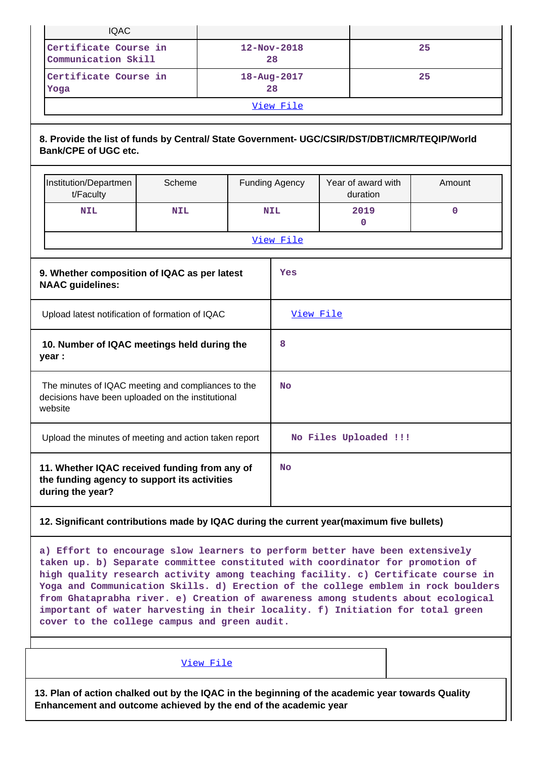|                                                                                                                   | <b>IQAC</b>                                                                                                                 |            |     |  |                         |  |                                |             |  |  |
|-------------------------------------------------------------------------------------------------------------------|-----------------------------------------------------------------------------------------------------------------------------|------------|-----|--|-------------------------|--|--------------------------------|-------------|--|--|
|                                                                                                                   | Certificate Course in<br>Communication Skill                                                                                |            |     |  | $12 - Nov - 2018$<br>28 |  | 25                             |             |  |  |
|                                                                                                                   | Certificate Course in<br>Yoga                                                                                               |            |     |  | 18-Aug-2017<br>28       |  |                                | 25          |  |  |
|                                                                                                                   |                                                                                                                             |            |     |  | View File               |  |                                |             |  |  |
|                                                                                                                   | 8. Provide the list of funds by Central/ State Government- UGC/CSIR/DST/DBT/ICMR/TEQIP/World<br><b>Bank/CPE of UGC etc.</b> |            |     |  |                         |  |                                |             |  |  |
|                                                                                                                   | Institution/Departmen<br>t/Faculty                                                                                          | Scheme     |     |  | <b>Funding Agency</b>   |  | Year of award with<br>duration | Amount      |  |  |
|                                                                                                                   | <b>NIL</b>                                                                                                                  | <b>NIL</b> |     |  | <b>NIL</b>              |  | 2019<br>$\mathbf{0}$           | $\mathbf 0$ |  |  |
|                                                                                                                   |                                                                                                                             |            |     |  | View File               |  |                                |             |  |  |
|                                                                                                                   | 9. Whether composition of IQAC as per latest<br><b>NAAC</b> guidelines:                                                     |            | Yes |  |                         |  |                                |             |  |  |
|                                                                                                                   | Upload latest notification of formation of IQAC                                                                             |            |     |  | View File               |  |                                |             |  |  |
|                                                                                                                   | 10. Number of IQAC meetings held during the<br>year :                                                                       |            |     |  | 8                       |  |                                |             |  |  |
|                                                                                                                   | The minutes of IQAC meeting and compliances to the<br>decisions have been uploaded on the institutional<br>website          |            |     |  |                         |  |                                |             |  |  |
|                                                                                                                   | Upload the minutes of meeting and action taken report                                                                       |            |     |  |                         |  | No Files Uploaded !!!          |             |  |  |
| 11. Whether IQAC received funding from any of<br>the funding agency to support its activities<br>during the year? |                                                                                                                             |            |     |  | <b>No</b>               |  |                                |             |  |  |

## **12. Significant contributions made by IQAC during the current year(maximum five bullets)**

**a) Effort to encourage slow learners to perform better have been extensively taken up. b) Separate committee constituted with coordinator for promotion of high quality research activity among teaching facility. c) Certificate course in Yoga and Communication Skills. d) Erection of the college emblem in rock boulders from Ghataprabha river. e) Creation of awareness among students about ecological important of water harvesting in their locality. f) Initiation for total green cover to the college campus and green audit.**

[View File](https://assessmentonline.naac.gov.in/public/Postacc/Contribution/2738_Contribution.xlsx)

**13. Plan of action chalked out by the IQAC in the beginning of the academic year towards Quality Enhancement and outcome achieved by the end of the academic year**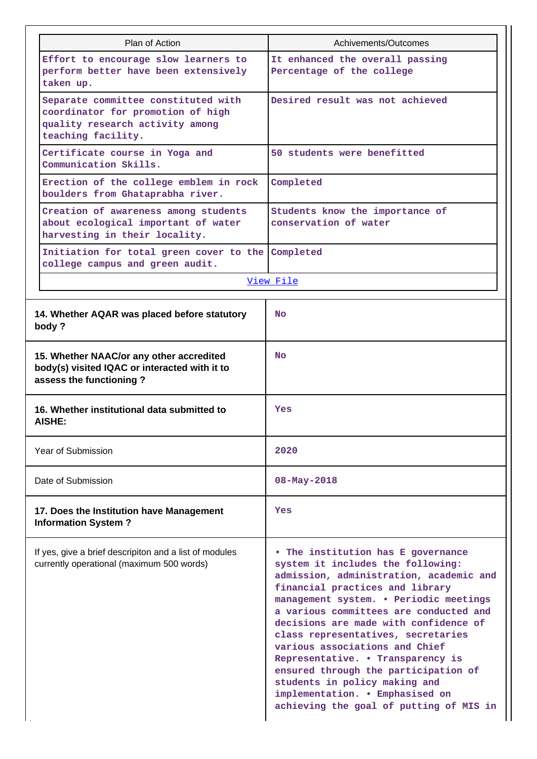| Plan of Action                                                                                                                    | Achivements/Outcomes                                                                                                                                                                                                                                                                                                                                                                                                                                                                                                                                   |  |  |  |  |  |
|-----------------------------------------------------------------------------------------------------------------------------------|--------------------------------------------------------------------------------------------------------------------------------------------------------------------------------------------------------------------------------------------------------------------------------------------------------------------------------------------------------------------------------------------------------------------------------------------------------------------------------------------------------------------------------------------------------|--|--|--|--|--|
| Effort to encourage slow learners to<br>perform better have been extensively<br>taken up.                                         | It enhanced the overall passing<br>Percentage of the college                                                                                                                                                                                                                                                                                                                                                                                                                                                                                           |  |  |  |  |  |
| Separate committee constituted with<br>coordinator for promotion of high<br>quality research activity among<br>teaching facility. | Desired result was not achieved                                                                                                                                                                                                                                                                                                                                                                                                                                                                                                                        |  |  |  |  |  |
| Certificate course in Yoga and<br>Communication Skills.                                                                           | 50 students were benefitted                                                                                                                                                                                                                                                                                                                                                                                                                                                                                                                            |  |  |  |  |  |
| Erection of the college emblem in rock<br>boulders from Ghataprabha river.                                                        | Completed                                                                                                                                                                                                                                                                                                                                                                                                                                                                                                                                              |  |  |  |  |  |
| Creation of awareness among students<br>about ecological important of water<br>harvesting in their locality.                      | Students know the importance of<br>conservation of water                                                                                                                                                                                                                                                                                                                                                                                                                                                                                               |  |  |  |  |  |
| Initiation for total green cover to the Completed<br>college campus and green audit.                                              |                                                                                                                                                                                                                                                                                                                                                                                                                                                                                                                                                        |  |  |  |  |  |
|                                                                                                                                   | View File                                                                                                                                                                                                                                                                                                                                                                                                                                                                                                                                              |  |  |  |  |  |
| 14. Whether AQAR was placed before statutory<br>body?                                                                             | <b>No</b>                                                                                                                                                                                                                                                                                                                                                                                                                                                                                                                                              |  |  |  |  |  |
| 15. Whether NAAC/or any other accredited<br>body(s) visited IQAC or interacted with it to<br>assess the functioning?              | <b>No</b>                                                                                                                                                                                                                                                                                                                                                                                                                                                                                                                                              |  |  |  |  |  |
| 16. Whether institutional data submitted to<br><b>AISHE:</b>                                                                      | Yes                                                                                                                                                                                                                                                                                                                                                                                                                                                                                                                                                    |  |  |  |  |  |
| <b>Year of Submission</b>                                                                                                         | 2020                                                                                                                                                                                                                                                                                                                                                                                                                                                                                                                                                   |  |  |  |  |  |
| Date of Submission                                                                                                                | $08 - May - 2018$                                                                                                                                                                                                                                                                                                                                                                                                                                                                                                                                      |  |  |  |  |  |
| 17. Does the Institution have Management<br><b>Information System?</b>                                                            | Yes                                                                                                                                                                                                                                                                                                                                                                                                                                                                                                                                                    |  |  |  |  |  |
| If yes, give a brief descripiton and a list of modules<br>currently operational (maximum 500 words)                               | • The institution has E governance<br>system it includes the following:<br>admission, administration, academic and<br>financial practices and library<br>management system. . Periodic meetings<br>a various committees are conducted and<br>decisions are made with confidence of<br>class representatives, secretaries<br>various associations and Chief<br>Representative. . Transparency is<br>ensured through the participation of<br>students in policy making and<br>implementation. . Emphasised on<br>achieving the goal of putting of MIS in |  |  |  |  |  |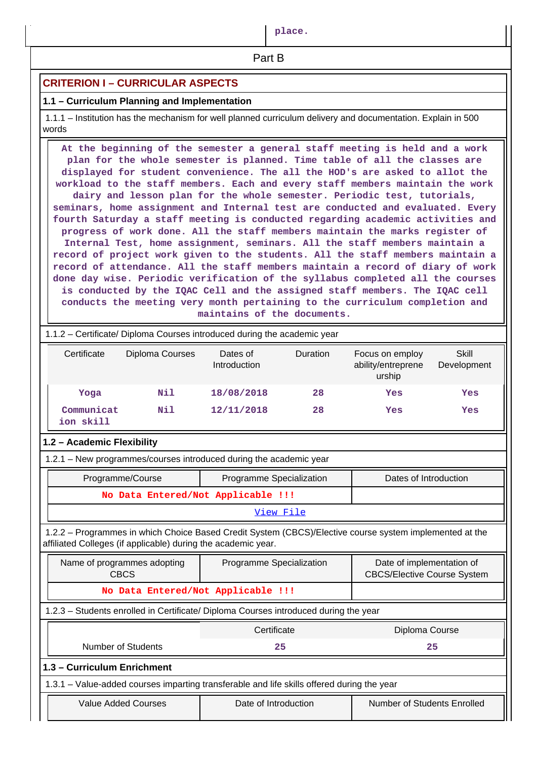**place.**

**Part B** 

## **CRITERION I – CURRICULAR ASPECTS**

## **1.1 – Curriculum Planning and Implementation**

 1.1.1 – Institution has the mechanism for well planned curriculum delivery and documentation. Explain in 500 words

 **At the beginning of the semester a general staff meeting is held and a work plan for the whole semester is planned. Time table of all the classes are displayed for student convenience. The all the HOD's are asked to allot the workload to the staff members. Each and every staff members maintain the work dairy and lesson plan for the whole semester. Periodic test, tutorials, seminars, home assignment and Internal test are conducted and evaluated. Every fourth Saturday a staff meeting is conducted regarding academic activities and progress of work done. All the staff members maintain the marks register of Internal Test, home assignment, seminars. All the staff members maintain a record of project work given to the students. All the staff members maintain a record of attendance. All the staff members maintain a record of diary of work done day wise. Periodic verification of the syllabus completed all the courses is conducted by the IQAC Cell and the assigned staff members. The IQAC cell conducts the meeting very month pertaining to the curriculum completion and maintains of the documents.**

| 1.1.2 – Certificate/ Diploma Courses introduced during the academic year |                                            |                                                                                            |                       |                                                                                                         |                             |  |  |  |  |  |
|--------------------------------------------------------------------------|--------------------------------------------|--------------------------------------------------------------------------------------------|-----------------------|---------------------------------------------------------------------------------------------------------|-----------------------------|--|--|--|--|--|
| Certificate                                                              | Diploma Courses                            |                                                                                            | Duration              | Focus on employ<br>ability/entreprene<br>urship                                                         | <b>Skill</b><br>Development |  |  |  |  |  |
| Yoga                                                                     | Nil                                        | 18/08/2018                                                                                 | 28                    | Yes                                                                                                     | Yes                         |  |  |  |  |  |
| Communicat<br>ion skill                                                  | Nil                                        | 12/11/2018                                                                                 | 28                    | Yes                                                                                                     | Yes                         |  |  |  |  |  |
| 1.2 - Academic Flexibility                                               |                                            |                                                                                            |                       |                                                                                                         |                             |  |  |  |  |  |
| 1.2.1 - New programmes/courses introduced during the academic year       |                                            |                                                                                            |                       |                                                                                                         |                             |  |  |  |  |  |
|                                                                          | Programme/Course                           | Programme Specialization                                                                   | Dates of Introduction |                                                                                                         |                             |  |  |  |  |  |
|                                                                          |                                            | No Data Entered/Not Applicable !!!                                                         |                       |                                                                                                         |                             |  |  |  |  |  |
| View File                                                                |                                            |                                                                                            |                       |                                                                                                         |                             |  |  |  |  |  |
| affiliated Colleges (if applicable) during the academic year.            |                                            |                                                                                            |                       | 1.2.2 - Programmes in which Choice Based Credit System (CBCS)/Elective course system implemented at the |                             |  |  |  |  |  |
|                                                                          | Name of programmes adopting<br><b>CBCS</b> | Programme Specialization                                                                   |                       | Date of implementation of<br><b>CBCS/Elective Course System</b>                                         |                             |  |  |  |  |  |
|                                                                          |                                            | No Data Entered/Not Applicable !!!                                                         |                       |                                                                                                         |                             |  |  |  |  |  |
|                                                                          |                                            | 1.2.3 - Students enrolled in Certificate/ Diploma Courses introduced during the year       |                       |                                                                                                         |                             |  |  |  |  |  |
|                                                                          |                                            | Certificate                                                                                |                       | Diploma Course                                                                                          |                             |  |  |  |  |  |
|                                                                          | Number of Students                         | 25                                                                                         |                       |                                                                                                         | 25                          |  |  |  |  |  |
| 1.3 - Curriculum Enrichment                                              |                                            |                                                                                            |                       |                                                                                                         |                             |  |  |  |  |  |
|                                                                          |                                            | 1.3.1 - Value-added courses imparting transferable and life skills offered during the year |                       |                                                                                                         |                             |  |  |  |  |  |
| <b>Value Added Courses</b>                                               |                                            | Date of Introduction                                                                       |                       | Number of Students Enrolled                                                                             |                             |  |  |  |  |  |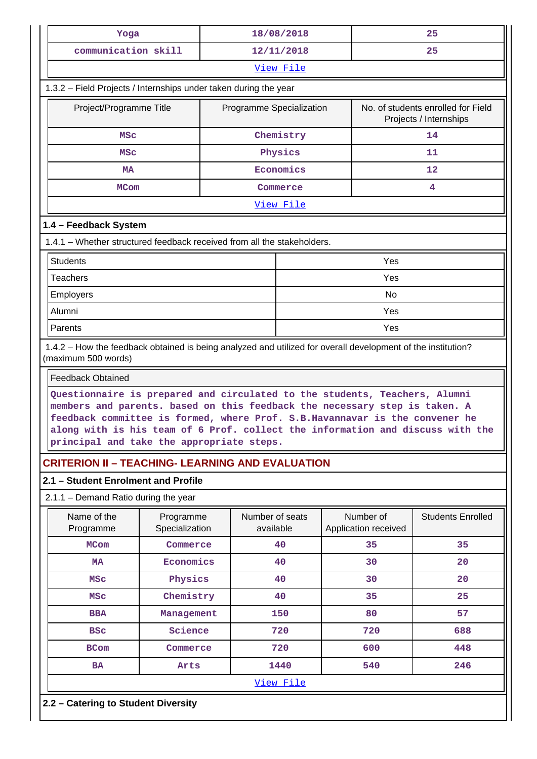| Yoga                                                                                                                                                                                                                                                                                  |                                                                                                              |                          | 18/08/2018                   |                                   | 25                                                                             |  |  |  |  |
|---------------------------------------------------------------------------------------------------------------------------------------------------------------------------------------------------------------------------------------------------------------------------------------|--------------------------------------------------------------------------------------------------------------|--------------------------|------------------------------|-----------------------------------|--------------------------------------------------------------------------------|--|--|--|--|
| communication skill                                                                                                                                                                                                                                                                   |                                                                                                              |                          | 12/11/2018                   |                                   | 25                                                                             |  |  |  |  |
|                                                                                                                                                                                                                                                                                       |                                                                                                              |                          | View File                    |                                   |                                                                                |  |  |  |  |
| 1.3.2 - Field Projects / Internships under taken during the year                                                                                                                                                                                                                      |                                                                                                              |                          |                              |                                   |                                                                                |  |  |  |  |
| Project/Programme Title                                                                                                                                                                                                                                                               |                                                                                                              | Programme Specialization |                              |                                   | No. of students enrolled for Field<br>Projects / Internships                   |  |  |  |  |
| MSC                                                                                                                                                                                                                                                                                   |                                                                                                              |                          | Chemistry                    |                                   | 14                                                                             |  |  |  |  |
| MSC                                                                                                                                                                                                                                                                                   |                                                                                                              |                          | Physics                      |                                   | 11                                                                             |  |  |  |  |
| MA                                                                                                                                                                                                                                                                                    |                                                                                                              |                          | Economics                    |                                   | 12                                                                             |  |  |  |  |
|                                                                                                                                                                                                                                                                                       | <b>MCom</b><br>Commerce                                                                                      |                          |                              |                                   | 4                                                                              |  |  |  |  |
| View File                                                                                                                                                                                                                                                                             |                                                                                                              |                          |                              |                                   |                                                                                |  |  |  |  |
| 1.4 - Feedback System                                                                                                                                                                                                                                                                 |                                                                                                              |                          |                              |                                   |                                                                                |  |  |  |  |
| 1.4.1 – Whether structured feedback received from all the stakeholders.                                                                                                                                                                                                               |                                                                                                              |                          |                              |                                   |                                                                                |  |  |  |  |
| <b>Students</b>                                                                                                                                                                                                                                                                       |                                                                                                              |                          |                              | Yes                               |                                                                                |  |  |  |  |
| <b>Teachers</b>                                                                                                                                                                                                                                                                       |                                                                                                              |                          |                              | Yes                               |                                                                                |  |  |  |  |
| Employers                                                                                                                                                                                                                                                                             |                                                                                                              |                          |                              | No                                |                                                                                |  |  |  |  |
| Alumni                                                                                                                                                                                                                                                                                |                                                                                                              |                          |                              | Yes                               |                                                                                |  |  |  |  |
| Parents                                                                                                                                                                                                                                                                               |                                                                                                              |                          |                              | Yes                               |                                                                                |  |  |  |  |
| (maximum 500 words)                                                                                                                                                                                                                                                                   | 1.4.2 - How the feedback obtained is being analyzed and utilized for overall development of the institution? |                          |                              |                                   |                                                                                |  |  |  |  |
| <b>Feedback Obtained</b>                                                                                                                                                                                                                                                              |                                                                                                              |                          |                              |                                   |                                                                                |  |  |  |  |
| Questionnaire is prepared and circulated to the students, Teachers, Alumni<br>members and parents. based on this feedback the necessary step is taken. A<br>feedback committee is formed, where Prof. S.B. Havannavar is the convener he<br>principal and take the appropriate steps. |                                                                                                              |                          |                              |                                   | along with is his team of 6 Prof. collect the information and discuss with the |  |  |  |  |
| <b>CRITERION II - TEACHING- LEARNING AND EVALUATION</b>                                                                                                                                                                                                                               |                                                                                                              |                          |                              |                                   |                                                                                |  |  |  |  |
| 2.1 - Student Enrolment and Profile                                                                                                                                                                                                                                                   |                                                                                                              |                          |                              |                                   |                                                                                |  |  |  |  |
| $2.1.1 -$ Demand Ratio during the year                                                                                                                                                                                                                                                |                                                                                                              |                          |                              |                                   |                                                                                |  |  |  |  |
| Name of the<br>Programme                                                                                                                                                                                                                                                              | Programme<br>Specialization                                                                                  |                          | Number of seats<br>available | Number of<br>Application received | <b>Students Enrolled</b>                                                       |  |  |  |  |
| <b>MCom</b>                                                                                                                                                                                                                                                                           | Commerce                                                                                                     |                          | 40                           | 35                                | 35                                                                             |  |  |  |  |
| <b>MA</b>                                                                                                                                                                                                                                                                             | Economics                                                                                                    |                          | 40                           | 30                                | 20                                                                             |  |  |  |  |
| <b>MSC</b>                                                                                                                                                                                                                                                                            | Physics                                                                                                      |                          | 40                           | 30                                | 20                                                                             |  |  |  |  |
| <b>MSC</b>                                                                                                                                                                                                                                                                            | Chemistry                                                                                                    |                          | 40                           | 35                                | 25                                                                             |  |  |  |  |
| <b>BBA</b>                                                                                                                                                                                                                                                                            | Management                                                                                                   |                          | 150                          | 80                                | 57                                                                             |  |  |  |  |
| <b>BSC</b>                                                                                                                                                                                                                                                                            | Science                                                                                                      |                          | 720                          | 720                               | 688                                                                            |  |  |  |  |
| <b>BCom</b>                                                                                                                                                                                                                                                                           | Commerce                                                                                                     |                          | 720                          | 600                               | 448                                                                            |  |  |  |  |
| <b>BA</b>                                                                                                                                                                                                                                                                             | Arts                                                                                                         |                          | 1440                         | 540                               | 246                                                                            |  |  |  |  |

[View File](https://assessmentonline.naac.gov.in/public/Postacc/Demand_ratio/2738_Demand_ratio_1577512274.xlsx)

# **2.2 – Catering to Student Diversity**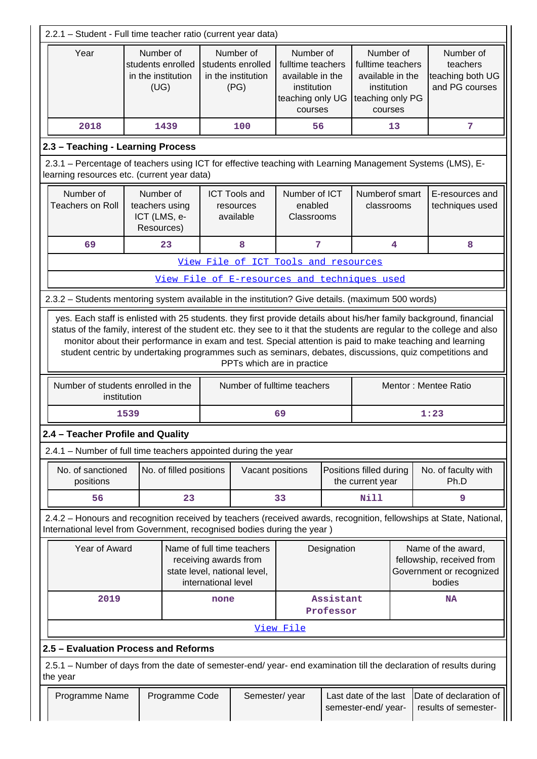| 2.2.1 - Student - Full time teacher ratio (current year data)                                                                                                                                                                                                                                                                                                                                                                                                                                        |               |                                                           |                         |                                                                                                                                                                  |                                                                                                                          |    |                                                                                                  |                                                             |                                                |                                                                                                                     |
|------------------------------------------------------------------------------------------------------------------------------------------------------------------------------------------------------------------------------------------------------------------------------------------------------------------------------------------------------------------------------------------------------------------------------------------------------------------------------------------------------|---------------|-----------------------------------------------------------|-------------------------|------------------------------------------------------------------------------------------------------------------------------------------------------------------|--------------------------------------------------------------------------------------------------------------------------|----|--------------------------------------------------------------------------------------------------|-------------------------------------------------------------|------------------------------------------------|---------------------------------------------------------------------------------------------------------------------|
| Year                                                                                                                                                                                                                                                                                                                                                                                                                                                                                                 |               | Number of<br>in the institution<br>(UG)                   | students enrolled       | Number of<br>Number of<br>students enrolled<br>fulltime teachers<br>in the institution<br>available in the<br>(PG)<br>institution<br>teaching only UG<br>courses |                                                                                                                          |    | Number of<br>fulltime teachers<br>available in the<br>institution<br>teaching only PG<br>courses | Number of<br>teachers<br>teaching both UG<br>and PG courses |                                                |                                                                                                                     |
| 2018                                                                                                                                                                                                                                                                                                                                                                                                                                                                                                 |               |                                                           | 1439                    |                                                                                                                                                                  | 100                                                                                                                      | 56 |                                                                                                  |                                                             | 13                                             | 7                                                                                                                   |
| 2.3 - Teaching - Learning Process                                                                                                                                                                                                                                                                                                                                                                                                                                                                    |               |                                                           |                         |                                                                                                                                                                  |                                                                                                                          |    |                                                                                                  |                                                             |                                                |                                                                                                                     |
| learning resources etc. (current year data)                                                                                                                                                                                                                                                                                                                                                                                                                                                          |               |                                                           |                         |                                                                                                                                                                  |                                                                                                                          |    |                                                                                                  |                                                             |                                                | 2.3.1 – Percentage of teachers using ICT for effective teaching with Learning Management Systems (LMS), E-          |
| Number of<br><b>Teachers on Roll</b>                                                                                                                                                                                                                                                                                                                                                                                                                                                                 |               | Number of<br>teachers using<br>ICT (LMS, e-<br>Resources) |                         |                                                                                                                                                                  | Number of ICT<br>Numberof smart<br><b>ICT Tools and</b><br>enabled<br>classrooms<br>resources<br>available<br>Classrooms |    | E-resources and<br>techniques used                                                               |                                                             |                                                |                                                                                                                     |
| 69                                                                                                                                                                                                                                                                                                                                                                                                                                                                                                   |               |                                                           | 23                      |                                                                                                                                                                  | 8                                                                                                                        | 7  |                                                                                                  |                                                             | 4                                              | 8                                                                                                                   |
|                                                                                                                                                                                                                                                                                                                                                                                                                                                                                                      |               |                                                           |                         |                                                                                                                                                                  | View File of ICT Tools and resources                                                                                     |    |                                                                                                  |                                                             |                                                |                                                                                                                     |
|                                                                                                                                                                                                                                                                                                                                                                                                                                                                                                      |               |                                                           |                         |                                                                                                                                                                  | View File of E-resources and techniques used                                                                             |    |                                                                                                  |                                                             |                                                |                                                                                                                     |
| 2.3.2 - Students mentoring system available in the institution? Give details. (maximum 500 words)                                                                                                                                                                                                                                                                                                                                                                                                    |               |                                                           |                         |                                                                                                                                                                  |                                                                                                                          |    |                                                                                                  |                                                             |                                                |                                                                                                                     |
| yes. Each staff is enlisted with 25 students. they first provide details about his/her family background, financial<br>status of the family, interest of the student etc. they see to it that the students are regular to the college and also<br>monitor about their performance in exam and test. Special attention is paid to make teaching and learning<br>student centric by undertaking programmes such as seminars, debates, discussions, quiz competitions and<br>PPTs which are in practice |               |                                                           |                         |                                                                                                                                                                  |                                                                                                                          |    |                                                                                                  |                                                             |                                                |                                                                                                                     |
| Number of students enrolled in the                                                                                                                                                                                                                                                                                                                                                                                                                                                                   | institution   |                                                           |                         |                                                                                                                                                                  | Number of fulltime teachers                                                                                              |    |                                                                                                  |                                                             |                                                | Mentor: Mentee Ratio                                                                                                |
|                                                                                                                                                                                                                                                                                                                                                                                                                                                                                                      | 1539          |                                                           |                         |                                                                                                                                                                  |                                                                                                                          | 69 |                                                                                                  |                                                             |                                                | 1:23                                                                                                                |
| 2.4 - Teacher Profile and Quality                                                                                                                                                                                                                                                                                                                                                                                                                                                                    |               |                                                           |                         |                                                                                                                                                                  |                                                                                                                          |    |                                                                                                  |                                                             |                                                |                                                                                                                     |
| 2.4.1 - Number of full time teachers appointed during the year                                                                                                                                                                                                                                                                                                                                                                                                                                       |               |                                                           |                         |                                                                                                                                                                  |                                                                                                                          |    |                                                                                                  |                                                             |                                                |                                                                                                                     |
| No. of sanctioned<br>positions                                                                                                                                                                                                                                                                                                                                                                                                                                                                       |               |                                                           | No. of filled positions |                                                                                                                                                                  | Vacant positions                                                                                                         |    |                                                                                                  | Positions filled during<br>the current year                 |                                                | No. of faculty with<br>Ph.D                                                                                         |
|                                                                                                                                                                                                                                                                                                                                                                                                                                                                                                      | 56            |                                                           | 23                      |                                                                                                                                                                  |                                                                                                                          | 33 |                                                                                                  | <b>Nill</b>                                                 |                                                | 9                                                                                                                   |
| International level from Government, recognised bodies during the year)                                                                                                                                                                                                                                                                                                                                                                                                                              |               |                                                           |                         |                                                                                                                                                                  |                                                                                                                          |    |                                                                                                  |                                                             |                                                | 2.4.2 - Honours and recognition received by teachers (received awards, recognition, fellowships at State, National, |
|                                                                                                                                                                                                                                                                                                                                                                                                                                                                                                      | Year of Award |                                                           |                         | international level                                                                                                                                              | Name of full time teachers<br>receiving awards from<br>state level, national level,                                      |    | Designation                                                                                      |                                                             |                                                | Name of the award,<br>fellowship, received from<br>Government or recognized<br>bodies                               |
|                                                                                                                                                                                                                                                                                                                                                                                                                                                                                                      | 2019          |                                                           |                         | none                                                                                                                                                             |                                                                                                                          |    | Assistant                                                                                        |                                                             |                                                | NA                                                                                                                  |
|                                                                                                                                                                                                                                                                                                                                                                                                                                                                                                      |               |                                                           |                         |                                                                                                                                                                  |                                                                                                                          |    | Professor                                                                                        |                                                             |                                                |                                                                                                                     |
| View File<br>2.5 - Evaluation Process and Reforms                                                                                                                                                                                                                                                                                                                                                                                                                                                    |               |                                                           |                         |                                                                                                                                                                  |                                                                                                                          |    |                                                                                                  |                                                             |                                                |                                                                                                                     |
| the year                                                                                                                                                                                                                                                                                                                                                                                                                                                                                             |               |                                                           |                         |                                                                                                                                                                  |                                                                                                                          |    |                                                                                                  |                                                             |                                                | 2.5.1 – Number of days from the date of semester-end/ year- end examination till the declaration of results during  |
| Programme Name<br>Programme Code                                                                                                                                                                                                                                                                                                                                                                                                                                                                     |               |                                                           |                         | Semester/year                                                                                                                                                    |                                                                                                                          |    | Last date of the last<br>semester-end/ year-                                                     |                                                             | Date of declaration of<br>results of semester- |                                                                                                                     |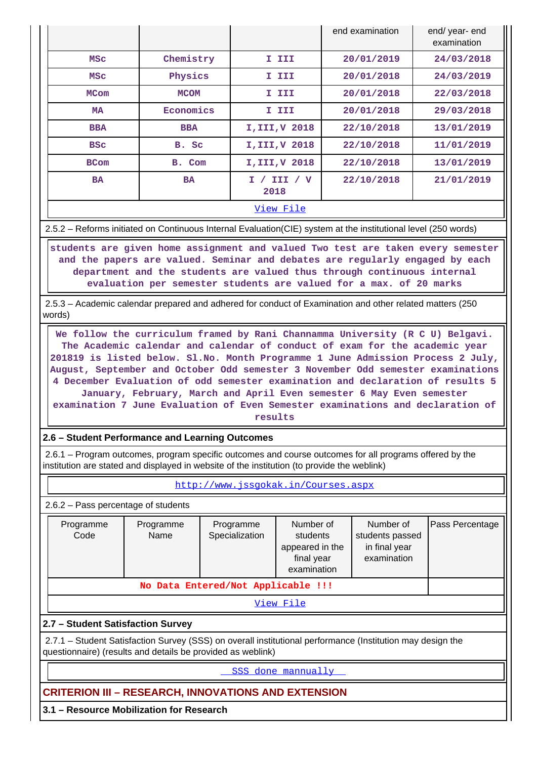|             |             |                        | end examination | end/ year- end<br>examination |  |  |  |  |  |
|-------------|-------------|------------------------|-----------------|-------------------------------|--|--|--|--|--|
| <b>MSC</b>  | Chemistry   | I III                  | 20/01/2019      | 24/03/2018                    |  |  |  |  |  |
| <b>MSC</b>  | Physics     | I III                  | 20/01/2018      | 24/03/2019                    |  |  |  |  |  |
| <b>MCom</b> | <b>MCOM</b> | I III                  | 20/01/2018      | 22/03/2018                    |  |  |  |  |  |
| MA          | Economics   | I III                  | 20/01/2018      | 29/03/2018                    |  |  |  |  |  |
| <b>BBA</b>  | <b>BBA</b>  | I, III, V 2018         | 22/10/2018      | 13/01/2019                    |  |  |  |  |  |
| <b>BSC</b>  | B. Sc       | I, III, V 2018         | 22/10/2018      | 11/01/2019                    |  |  |  |  |  |
| <b>BCom</b> | B. Com      | I, III, V 2018         | 22/10/2018      | 13/01/2019                    |  |  |  |  |  |
| <b>BA</b>   | <b>BA</b>   | III / V<br>I /<br>2018 | 22/10/2018      | 21/01/2019                    |  |  |  |  |  |
| View File   |             |                        |                 |                               |  |  |  |  |  |

2.5.2 – Reforms initiated on Continuous Internal Evaluation(CIE) system at the institutional level (250 words)

 **students are given home assignment and valued Two test are taken every semester and the papers are valued. Seminar and debates are regularly engaged by each department and the students are valued thus through continuous internal evaluation per semester students are valued for a max. of 20 marks**

 2.5.3 – Academic calendar prepared and adhered for conduct of Examination and other related matters (250 words)

 **We follow the curriculum framed by Rani Channamma University (R C U) Belgavi. The Academic calendar and calendar of conduct of exam for the academic year 201819 is listed below. Sl.No. Month Programme 1 June Admission Process 2 July, August, September and October Odd semester 3 November Odd semester examinations 4 December Evaluation of odd semester examination and declaration of results 5 January, February, March and April Even semester 6 May Even semester examination 7 June Evaluation of Even Semester examinations and declaration of results**

**2.6 – Student Performance and Learning Outcomes**

 2.6.1 – Program outcomes, program specific outcomes and course outcomes for all programs offered by the institution are stated and displayed in website of the institution (to provide the weblink)

<http://www.jssgokak.in/Courses.aspx>

2.6.2 – Pass percentage of students

| Programme<br>Code                 | Programme<br>Name                  | Programme<br>Specialization | Number of<br>students<br>appeared in the<br>final year<br>examination | Number of<br>students passed<br>in final year<br>examination | Pass Percentage |  |  |  |  |
|-----------------------------------|------------------------------------|-----------------------------|-----------------------------------------------------------------------|--------------------------------------------------------------|-----------------|--|--|--|--|
|                                   | No Data Entered/Not Applicable !!! |                             |                                                                       |                                                              |                 |  |  |  |  |
| View File                         |                                    |                             |                                                                       |                                                              |                 |  |  |  |  |
| 2.7 - Student Satisfaction Survey |                                    |                             |                                                                       |                                                              |                 |  |  |  |  |

 2.7.1 – Student Satisfaction Survey (SSS) on overall institutional performance (Institution may design the questionnaire) (results and details be provided as weblink)

<SSS done mannually>

# **CRITERION III – RESEARCH, INNOVATIONS AND EXTENSION**

**3.1 – Resource Mobilization for Research**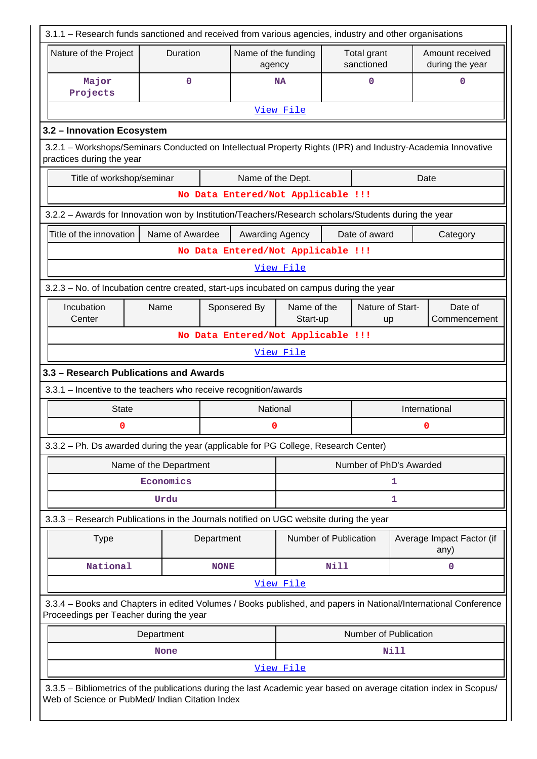| 3.1.1 - Research funds sanctioned and received from various agencies, industry and other organisations                                                                |                                     |             |                                    |                                 |      |                           |              |                                    |  |
|-----------------------------------------------------------------------------------------------------------------------------------------------------------------------|-------------------------------------|-------------|------------------------------------|---------------------------------|------|---------------------------|--------------|------------------------------------|--|
| Nature of the Project                                                                                                                                                 | Duration                            |             | Name of the funding<br>agency      |                                 |      | Total grant<br>sanctioned |              | Amount received<br>during the year |  |
| Major<br>Projects                                                                                                                                                     | 0                                   |             |                                    | 0<br><b>NA</b>                  |      |                           | 0            |                                    |  |
|                                                                                                                                                                       |                                     |             |                                    | View File                       |      |                           |              |                                    |  |
| 3.2 - Innovation Ecosystem                                                                                                                                            |                                     |             |                                    |                                 |      |                           |              |                                    |  |
| 3.2.1 - Workshops/Seminars Conducted on Intellectual Property Rights (IPR) and Industry-Academia Innovative<br>practices during the year                              |                                     |             |                                    |                                 |      |                           |              |                                    |  |
| Title of workshop/seminar                                                                                                                                             |                                     |             | Name of the Dept.                  |                                 |      |                           |              | Date                               |  |
| No Data Entered/Not Applicable !!!                                                                                                                                    |                                     |             |                                    |                                 |      |                           |              |                                    |  |
| 3.2.2 - Awards for Innovation won by Institution/Teachers/Research scholars/Students during the year                                                                  |                                     |             |                                    |                                 |      |                           |              |                                    |  |
| Title of the innovation                                                                                                                                               | Name of Awardee                     |             | Awarding Agency                    |                                 |      | Date of award             |              | Category                           |  |
|                                                                                                                                                                       |                                     |             | No Data Entered/Not Applicable !!! |                                 |      |                           |              |                                    |  |
|                                                                                                                                                                       |                                     |             |                                    | View File                       |      |                           |              |                                    |  |
| 3.2.3 - No. of Incubation centre created, start-ups incubated on campus during the year                                                                               |                                     |             |                                    |                                 |      |                           |              |                                    |  |
| Incubation                                                                                                                                                            | Name                                |             | Sponsered By                       | Name of the<br>Nature of Start- |      |                           | Date of      |                                    |  |
| Center                                                                                                                                                                |                                     |             |                                    | Start-up<br>up                  |      |                           | Commencement |                                    |  |
| No Data Entered/Not Applicable !!!                                                                                                                                    |                                     |             |                                    |                                 |      |                           |              |                                    |  |
| View File                                                                                                                                                             |                                     |             |                                    |                                 |      |                           |              |                                    |  |
| 3.3 - Research Publications and Awards                                                                                                                                |                                     |             |                                    |                                 |      |                           |              |                                    |  |
| 3.3.1 - Incentive to the teachers who receive recognition/awards                                                                                                      |                                     |             |                                    |                                 |      |                           |              |                                    |  |
| <b>State</b><br>0                                                                                                                                                     |                                     |             | National                           |                                 |      |                           |              | International                      |  |
|                                                                                                                                                                       |                                     |             | 0                                  |                                 |      |                           |              | 0                                  |  |
| 3.3.2 - Ph. Ds awarded during the year (applicable for PG College, Research Center)                                                                                   |                                     |             |                                    |                                 |      |                           |              |                                    |  |
|                                                                                                                                                                       | Name of the Department<br>Economics |             |                                    |                                 |      | Number of PhD's Awarded   |              |                                    |  |
|                                                                                                                                                                       | Urdu                                |             |                                    | 1<br>1                          |      |                           |              |                                    |  |
|                                                                                                                                                                       |                                     |             |                                    |                                 |      |                           |              |                                    |  |
| 3.3.3 – Research Publications in the Journals notified on UGC website during the year                                                                                 |                                     |             |                                    |                                 |      |                           |              |                                    |  |
| <b>Type</b>                                                                                                                                                           |                                     | Department  |                                    | Number of Publication           |      |                           |              | Average Impact Factor (if<br>any)  |  |
| National                                                                                                                                                              |                                     | <b>NONE</b> |                                    |                                 | Nill |                           |              | 0                                  |  |
|                                                                                                                                                                       |                                     |             |                                    | View File                       |      |                           |              |                                    |  |
| 3.3.4 - Books and Chapters in edited Volumes / Books published, and papers in National/International Conference<br>Proceedings per Teacher during the year            |                                     |             |                                    |                                 |      |                           |              |                                    |  |
|                                                                                                                                                                       | Department                          |             |                                    |                                 |      | Number of Publication     |              |                                    |  |
|                                                                                                                                                                       | <b>None</b>                         |             |                                    |                                 |      |                           | Nill         |                                    |  |
|                                                                                                                                                                       |                                     |             |                                    | View File                       |      |                           |              |                                    |  |
| 3.3.5 - Bibliometrics of the publications during the last Academic year based on average citation index in Scopus/<br>Web of Science or PubMed/ Indian Citation Index |                                     |             |                                    |                                 |      |                           |              |                                    |  |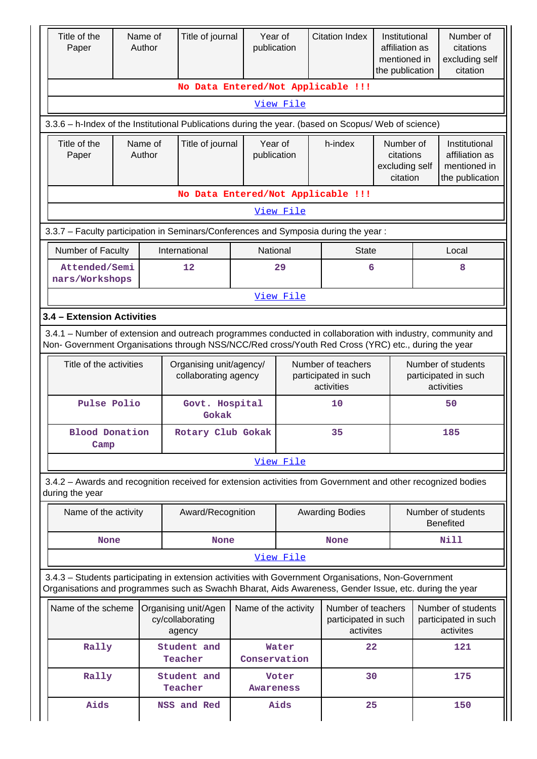| Title of the<br>Paper                                                                                                                                                                                              | Title of journal<br>Name of<br>Author |                                                                                                                                                                                                                | publication            | Year of              | <b>Citation Index</b>                                    | Institutional<br>affiliation as<br>mentioned in<br>the publication |       | Number of<br>citations<br>excluding self<br>citation               |  |
|--------------------------------------------------------------------------------------------------------------------------------------------------------------------------------------------------------------------|---------------------------------------|----------------------------------------------------------------------------------------------------------------------------------------------------------------------------------------------------------------|------------------------|----------------------|----------------------------------------------------------|--------------------------------------------------------------------|-------|--------------------------------------------------------------------|--|
|                                                                                                                                                                                                                    |                                       |                                                                                                                                                                                                                |                        |                      | No Data Entered/Not Applicable !!!                       |                                                                    |       |                                                                    |  |
| View File                                                                                                                                                                                                          |                                       |                                                                                                                                                                                                                |                        |                      |                                                          |                                                                    |       |                                                                    |  |
|                                                                                                                                                                                                                    |                                       | 3.3.6 - h-Index of the Institutional Publications during the year. (based on Scopus/ Web of science)                                                                                                           |                        |                      |                                                          |                                                                    |       |                                                                    |  |
| Title of the<br>Name of<br>Author<br>Paper                                                                                                                                                                         |                                       | Title of journal                                                                                                                                                                                               | Year of<br>publication |                      | h-index                                                  | Number of<br>citations<br>excluding self<br>citation               |       | Institutional<br>affiliation as<br>mentioned in<br>the publication |  |
|                                                                                                                                                                                                                    |                                       |                                                                                                                                                                                                                |                        |                      | No Data Entered/Not Applicable !!!                       |                                                                    |       |                                                                    |  |
|                                                                                                                                                                                                                    |                                       |                                                                                                                                                                                                                |                        | View File            |                                                          |                                                                    |       |                                                                    |  |
| 3.3.7 - Faculty participation in Seminars/Conferences and Symposia during the year:                                                                                                                                |                                       |                                                                                                                                                                                                                |                        |                      |                                                          |                                                                    |       |                                                                    |  |
| Number of Faculty                                                                                                                                                                                                  |                                       | International                                                                                                                                                                                                  | National               |                      | <b>State</b>                                             |                                                                    | Local |                                                                    |  |
| Attended/Semi<br>nars/Workshops                                                                                                                                                                                    |                                       | 12                                                                                                                                                                                                             |                        | 29                   | 6                                                        | 8                                                                  |       |                                                                    |  |
| View File                                                                                                                                                                                                          |                                       |                                                                                                                                                                                                                |                        |                      |                                                          |                                                                    |       |                                                                    |  |
| 3.4 - Extension Activities                                                                                                                                                                                         |                                       |                                                                                                                                                                                                                |                        |                      |                                                          |                                                                    |       |                                                                    |  |
| 3.4.1 - Number of extension and outreach programmes conducted in collaboration with industry, community and<br>Non- Government Organisations through NSS/NCC/Red cross/Youth Red Cross (YRC) etc., during the year |                                       |                                                                                                                                                                                                                |                        |                      |                                                          |                                                                    |       |                                                                    |  |
| Title of the activities<br>Organising unit/agency/<br>collaborating agency                                                                                                                                         |                                       |                                                                                                                                                                                                                |                        |                      | Number of teachers<br>participated in such<br>activities |                                                                    |       | Number of students<br>participated in such<br>activities           |  |
| Pulse Polio                                                                                                                                                                                                        |                                       | Govt. Hospital<br>Gokak                                                                                                                                                                                        |                        |                      | 10                                                       |                                                                    |       | 50                                                                 |  |
| <b>Blood Donation</b><br>Camp                                                                                                                                                                                      |                                       | Rotary Club Gokak                                                                                                                                                                                              |                        |                      | 35<br>185                                                |                                                                    |       |                                                                    |  |
|                                                                                                                                                                                                                    |                                       |                                                                                                                                                                                                                |                        | View File            |                                                          |                                                                    |       |                                                                    |  |
| during the year                                                                                                                                                                                                    |                                       | 3.4.2 - Awards and recognition received for extension activities from Government and other recognized bodies                                                                                                   |                        |                      |                                                          |                                                                    |       |                                                                    |  |
| Name of the activity                                                                                                                                                                                               |                                       | Award/Recognition                                                                                                                                                                                              |                        |                      | <b>Awarding Bodies</b>                                   |                                                                    |       | Number of students<br><b>Benefited</b>                             |  |
| None                                                                                                                                                                                                               |                                       | <b>None</b>                                                                                                                                                                                                    |                        |                      | <b>None</b>                                              |                                                                    |       | <b>Nill</b>                                                        |  |
|                                                                                                                                                                                                                    |                                       |                                                                                                                                                                                                                |                        | View File            |                                                          |                                                                    |       |                                                                    |  |
|                                                                                                                                                                                                                    |                                       | 3.4.3 - Students participating in extension activities with Government Organisations, Non-Government<br>Organisations and programmes such as Swachh Bharat, Aids Awareness, Gender Issue, etc. during the year |                        |                      |                                                          |                                                                    |       |                                                                    |  |
| Name of the scheme                                                                                                                                                                                                 |                                       | Organising unit/Agen<br>cy/collaborating<br>agency                                                                                                                                                             |                        | Name of the activity | Number of teachers<br>participated in such<br>activites  |                                                                    |       | Number of students<br>participated in such<br>activites            |  |
| Rally                                                                                                                                                                                                              |                                       | Student and<br>Teacher                                                                                                                                                                                         | Conservation           | Water                | 22                                                       |                                                                    |       | 121                                                                |  |
| Rally                                                                                                                                                                                                              |                                       | Student and<br>Teacher                                                                                                                                                                                         | <b>Awareness</b>       | Voter                | 30                                                       |                                                                    |       | 175                                                                |  |
| Aids                                                                                                                                                                                                               |                                       | NSS and Red                                                                                                                                                                                                    |                        | Aids                 | 25                                                       |                                                                    |       | 150                                                                |  |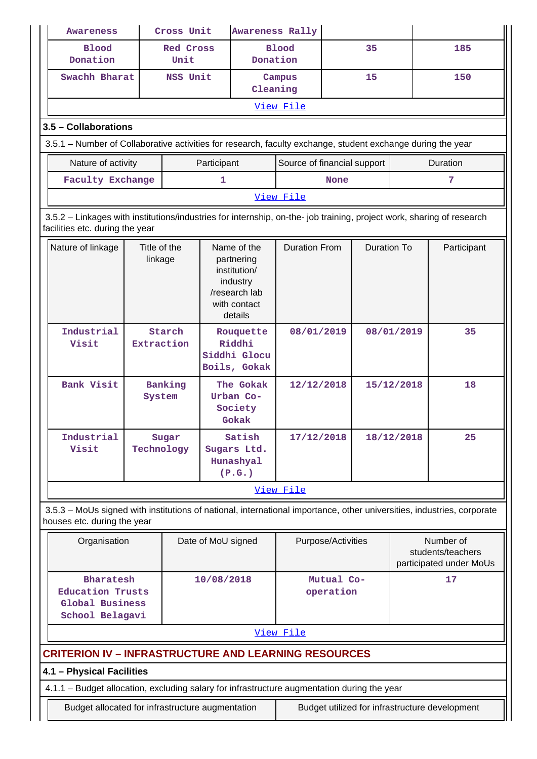| <b>Awareness</b>                                                                                                                                         |                                   | Cross Unit               |                    | <b>Awareness Rally</b>                                                                            |                             |                         |                    |            |                                                           |  |
|----------------------------------------------------------------------------------------------------------------------------------------------------------|-----------------------------------|--------------------------|--------------------|---------------------------------------------------------------------------------------------------|-----------------------------|-------------------------|--------------------|------------|-----------------------------------------------------------|--|
| <b>Blood</b><br>Donation                                                                                                                                 |                                   | <b>Red Cross</b><br>Unit |                    | Donation                                                                                          | <b>Blood</b>                |                         | 35                 |            | 185                                                       |  |
| Swachh Bharat                                                                                                                                            |                                   | NSS Unit                 |                    | Cleaning                                                                                          | Campus                      |                         | 15                 |            | 150                                                       |  |
|                                                                                                                                                          |                                   |                          |                    |                                                                                                   | View File                   |                         |                    |            |                                                           |  |
|                                                                                                                                                          | 3.5 - Collaborations              |                          |                    |                                                                                                   |                             |                         |                    |            |                                                           |  |
| 3.5.1 – Number of Collaborative activities for research, faculty exchange, student exchange during the year                                              |                                   |                          |                    |                                                                                                   |                             |                         |                    |            |                                                           |  |
|                                                                                                                                                          | Nature of activity<br>Participant |                          |                    |                                                                                                   | Source of financial support |                         |                    |            | Duration                                                  |  |
| <b>Faculty Exchange</b>                                                                                                                                  |                                   |                          | 1                  |                                                                                                   |                             | 7<br><b>None</b>        |                    |            |                                                           |  |
|                                                                                                                                                          |                                   |                          |                    |                                                                                                   | View File                   |                         |                    |            |                                                           |  |
| 3.5.2 - Linkages with institutions/industries for internship, on-the- job training, project work, sharing of research<br>facilities etc. during the year |                                   |                          |                    |                                                                                                   |                             |                         |                    |            |                                                           |  |
| Nature of linkage                                                                                                                                        | Title of the<br>linkage           |                          |                    | Name of the<br>partnering<br>institution/<br>industry<br>/research lab<br>with contact<br>details | <b>Duration From</b>        |                         | <b>Duration To</b> |            | Participant                                               |  |
| Industrial<br>Visit                                                                                                                                      | Starch<br>Extraction              |                          |                    | Rouquette<br>Riddhi<br>Siddhi Glocu<br>Boils, Gokak                                               | 08/01/2019                  |                         |                    | 08/01/2019 | 35                                                        |  |
| Bank Visit                                                                                                                                               | System                            | Banking                  |                    | The Gokak<br>Urban Co-<br>Society<br>Gokak                                                        | 12/12/2018                  |                         |                    | 15/12/2018 | 18                                                        |  |
| Industrial<br>Visit                                                                                                                                      | Technology                        | Sugar                    |                    | Satish<br>Sugars Ltd.<br>Hunashyal<br>(P.G.)                                                      | 17/12/2018                  |                         |                    | 18/12/2018 | 25                                                        |  |
|                                                                                                                                                          |                                   |                          |                    |                                                                                                   | View File                   |                         |                    |            |                                                           |  |
| 3.5.3 - MoUs signed with institutions of national, international importance, other universities, industries, corporate<br>houses etc. during the year    |                                   |                          |                    |                                                                                                   |                             |                         |                    |            |                                                           |  |
| Organisation                                                                                                                                             |                                   |                          | Date of MoU signed |                                                                                                   |                             | Purpose/Activities      |                    |            | Number of<br>students/teachers<br>participated under MoUs |  |
| Bharatesh<br><b>Education Trusts</b><br>Global Business<br>School Belagavi                                                                               |                                   |                          | 10/08/2018         |                                                                                                   |                             | Mutual Co-<br>operation |                    |            | 17                                                        |  |
|                                                                                                                                                          |                                   |                          |                    |                                                                                                   | View File                   |                         |                    |            |                                                           |  |
| <b>CRITERION IV - INFRASTRUCTURE AND LEARNING RESOURCES</b>                                                                                              |                                   |                          |                    |                                                                                                   |                             |                         |                    |            |                                                           |  |
| 4.1 - Physical Facilities                                                                                                                                |                                   |                          |                    |                                                                                                   |                             |                         |                    |            |                                                           |  |
| 4.1.1 - Budget allocation, excluding salary for infrastructure augmentation during the year                                                              |                                   |                          |                    |                                                                                                   |                             |                         |                    |            |                                                           |  |
| Budget allocated for infrastructure augmentation                                                                                                         |                                   |                          |                    |                                                                                                   |                             |                         |                    |            | Budget utilized for infrastructure development            |  |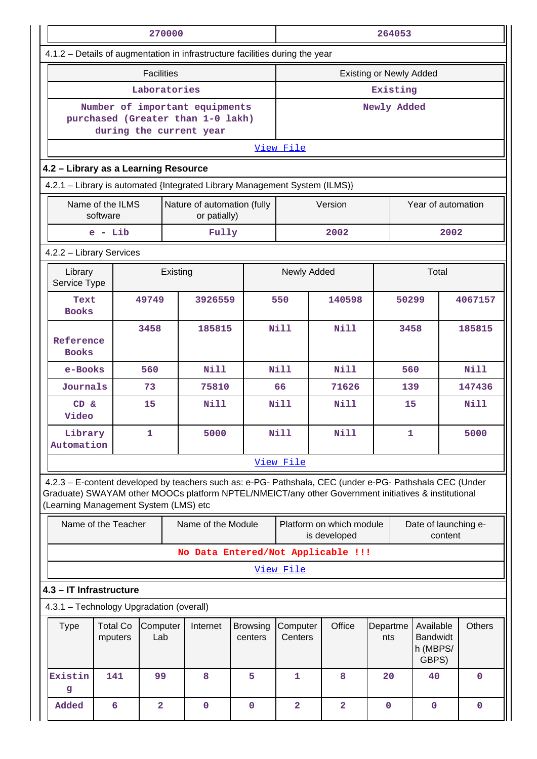|                                                                                                                                                                                                                                                         |                                                                                         |                         | 270000 |                                                                                                |                     | 264053         |        |                                          |                                                   |                      |               |             |
|---------------------------------------------------------------------------------------------------------------------------------------------------------------------------------------------------------------------------------------------------------|-----------------------------------------------------------------------------------------|-------------------------|--------|------------------------------------------------------------------------------------------------|---------------------|----------------|--------|------------------------------------------|---------------------------------------------------|----------------------|---------------|-------------|
| 4.1.2 - Details of augmentation in infrastructure facilities during the year                                                                                                                                                                            |                                                                                         |                         |        |                                                                                                |                     |                |        |                                          |                                                   |                      |               |             |
|                                                                                                                                                                                                                                                         |                                                                                         | <b>Facilities</b>       |        |                                                                                                |                     |                |        |                                          | <b>Existing or Newly Added</b>                    |                      |               |             |
|                                                                                                                                                                                                                                                         |                                                                                         | Laboratories            |        |                                                                                                |                     | Existing       |        |                                          |                                                   |                      |               |             |
|                                                                                                                                                                                                                                                         |                                                                                         |                         |        | Number of important equipments<br>purchased (Greater than 1-0 lakh)<br>during the current year |                     | Newly Added    |        |                                          |                                                   |                      |               |             |
|                                                                                                                                                                                                                                                         |                                                                                         |                         |        |                                                                                                |                     | View File      |        |                                          |                                                   |                      |               |             |
|                                                                                                                                                                                                                                                         | 4.2 - Library as a Learning Resource                                                    |                         |        |                                                                                                |                     |                |        |                                          |                                                   |                      |               |             |
| 4.2.1 - Library is automated {Integrated Library Management System (ILMS)}                                                                                                                                                                              |                                                                                         |                         |        |                                                                                                |                     |                |        |                                          |                                                   |                      |               |             |
|                                                                                                                                                                                                                                                         | Name of the ILMS<br>software                                                            |                         |        | Nature of automation (fully<br>or patially)                                                    |                     |                |        | Version                                  |                                                   | Year of automation   |               |             |
|                                                                                                                                                                                                                                                         | $e - Lib$                                                                               |                         |        | Fully                                                                                          |                     |                |        | 2002                                     |                                                   |                      | 2002          |             |
| 4.2.2 - Library Services                                                                                                                                                                                                                                |                                                                                         |                         |        |                                                                                                |                     |                |        |                                          |                                                   |                      |               |             |
| Newly Added<br>Library<br>Existing<br>Service Type                                                                                                                                                                                                      |                                                                                         |                         |        |                                                                                                |                     |                |        |                                          |                                                   | Total                |               |             |
| Text<br><b>Books</b>                                                                                                                                                                                                                                    |                                                                                         | 49749                   |        | 3926559                                                                                        |                     | 550            |        | 140598                                   |                                                   | 50299                |               | 4067157     |
| Reference<br><b>Books</b>                                                                                                                                                                                                                               |                                                                                         | 3458                    |        | 185815                                                                                         |                     | <b>Nill</b>    |        | Nill                                     |                                                   | 3458                 |               | 185815      |
| e-Books                                                                                                                                                                                                                                                 |                                                                                         | 560                     |        | <b>Nill</b>                                                                                    |                     | Nill           |        | Nill                                     |                                                   | 560                  |               | Nill        |
| Journals                                                                                                                                                                                                                                                |                                                                                         | 73                      |        | 75810                                                                                          |                     | 66             |        | 71626                                    |                                                   | 139                  |               | 147436      |
| $CD \&$<br>Video                                                                                                                                                                                                                                        |                                                                                         | 15                      |        | Nill                                                                                           |                     | Nill<br>Nill   |        |                                          | 15                                                |                      | Nill          |             |
| Library<br>Automation                                                                                                                                                                                                                                   |                                                                                         | 1                       |        | 5000                                                                                           |                     | Nill<br>Nill   |        |                                          |                                                   | 5000<br>1            |               |             |
|                                                                                                                                                                                                                                                         |                                                                                         |                         |        |                                                                                                |                     | View File      |        |                                          |                                                   |                      |               |             |
| 4.2.3 - E-content developed by teachers such as: e-PG- Pathshala, CEC (under e-PG- Pathshala CEC (Under<br>Graduate) SWAYAM other MOOCs platform NPTEL/NMEICT/any other Government initiatives & institutional<br>(Learning Management System (LMS) etc |                                                                                         |                         |        |                                                                                                |                     |                |        |                                          |                                                   |                      |               |             |
|                                                                                                                                                                                                                                                         | Name of the Teacher                                                                     |                         |        | Name of the Module                                                                             |                     |                |        | Platform on which module<br>is developed |                                                   | Date of launching e- | content       |             |
|                                                                                                                                                                                                                                                         |                                                                                         |                         |        | No Data Entered/Not Applicable !!!                                                             |                     |                |        |                                          |                                                   |                      |               |             |
|                                                                                                                                                                                                                                                         |                                                                                         |                         |        |                                                                                                |                     | View File      |        |                                          |                                                   |                      |               |             |
| 4.3 - IT Infrastructure                                                                                                                                                                                                                                 |                                                                                         |                         |        |                                                                                                |                     |                |        |                                          |                                                   |                      |               |             |
| 4.3.1 - Technology Upgradation (overall)                                                                                                                                                                                                                |                                                                                         |                         |        |                                                                                                |                     |                |        |                                          |                                                   |                      |               |             |
| <b>Type</b>                                                                                                                                                                                                                                             | <b>Total Co</b><br>Computer<br>Internet<br><b>Browsing</b><br>Lab<br>mputers<br>centers |                         |        |                                                                                                | Computer<br>Centers |                | Office | Departme<br>nts                          | Available<br><b>Bandwidt</b><br>h (MBPS/<br>GBPS) |                      | <b>Others</b> |             |
| Existin<br>g                                                                                                                                                                                                                                            | 141                                                                                     | 99                      |        | 8                                                                                              | 5                   | $\mathbf 1$    |        | 8                                        | 20                                                | 40                   |               | $\mathbf 0$ |
| Added                                                                                                                                                                                                                                                   | 6                                                                                       | $\overline{\mathbf{2}}$ |        | $\mathbf 0$                                                                                    | $\mathbf 0$         | $\overline{a}$ |        | $\overline{a}$                           | $\mathbf 0$                                       | $\mathbf 0$          |               | $\mathbf 0$ |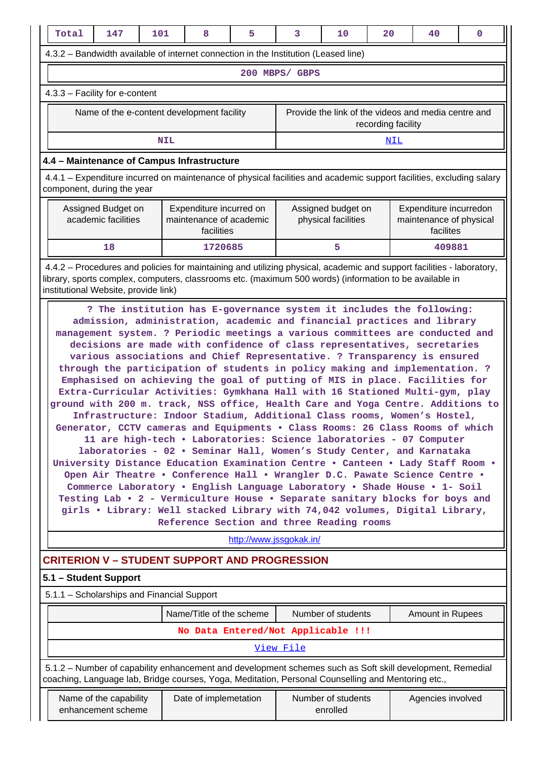|                                                                                                                                                                                                                              | Total                                                                                                                                                                                                                                                                                                                                                                                                                                                                                                                                                                                                                                                                                                                                                                                                                                                                                                                                                                                                                                                                                                                                                                                                                                                                                                                                                                                                                                                                                           | 147                                          | 101        |  | 8                        | 5 | 3                                                                                                  | 10                             | 20                 | 40                                                                                                        | $\mathbf 0$ |  |
|------------------------------------------------------------------------------------------------------------------------------------------------------------------------------------------------------------------------------|-------------------------------------------------------------------------------------------------------------------------------------------------------------------------------------------------------------------------------------------------------------------------------------------------------------------------------------------------------------------------------------------------------------------------------------------------------------------------------------------------------------------------------------------------------------------------------------------------------------------------------------------------------------------------------------------------------------------------------------------------------------------------------------------------------------------------------------------------------------------------------------------------------------------------------------------------------------------------------------------------------------------------------------------------------------------------------------------------------------------------------------------------------------------------------------------------------------------------------------------------------------------------------------------------------------------------------------------------------------------------------------------------------------------------------------------------------------------------------------------------|----------------------------------------------|------------|--|--------------------------|---|----------------------------------------------------------------------------------------------------|--------------------------------|--------------------|-----------------------------------------------------------------------------------------------------------|-------------|--|
|                                                                                                                                                                                                                              |                                                                                                                                                                                                                                                                                                                                                                                                                                                                                                                                                                                                                                                                                                                                                                                                                                                                                                                                                                                                                                                                                                                                                                                                                                                                                                                                                                                                                                                                                                 |                                              |            |  |                          |   | 4.3.2 - Bandwidth available of internet connection in the Institution (Leased line)                |                                |                    |                                                                                                           |             |  |
|                                                                                                                                                                                                                              |                                                                                                                                                                                                                                                                                                                                                                                                                                                                                                                                                                                                                                                                                                                                                                                                                                                                                                                                                                                                                                                                                                                                                                                                                                                                                                                                                                                                                                                                                                 |                                              |            |  |                          |   | 200 MBPS/ GBPS                                                                                     |                                |                    |                                                                                                           |             |  |
|                                                                                                                                                                                                                              | 4.3.3 - Facility for e-content                                                                                                                                                                                                                                                                                                                                                                                                                                                                                                                                                                                                                                                                                                                                                                                                                                                                                                                                                                                                                                                                                                                                                                                                                                                                                                                                                                                                                                                                  |                                              |            |  |                          |   |                                                                                                    |                                |                    |                                                                                                           |             |  |
|                                                                                                                                                                                                                              |                                                                                                                                                                                                                                                                                                                                                                                                                                                                                                                                                                                                                                                                                                                                                                                                                                                                                                                                                                                                                                                                                                                                                                                                                                                                                                                                                                                                                                                                                                 | Name of the e-content development facility   |            |  |                          |   |                                                                                                    |                                | recording facility | Provide the link of the videos and media centre and                                                       |             |  |
|                                                                                                                                                                                                                              |                                                                                                                                                                                                                                                                                                                                                                                                                                                                                                                                                                                                                                                                                                                                                                                                                                                                                                                                                                                                                                                                                                                                                                                                                                                                                                                                                                                                                                                                                                 |                                              | <b>NIL</b> |  |                          |   |                                                                                                    |                                | NIL                |                                                                                                           |             |  |
|                                                                                                                                                                                                                              | 4.4 - Maintenance of Campus Infrastructure                                                                                                                                                                                                                                                                                                                                                                                                                                                                                                                                                                                                                                                                                                                                                                                                                                                                                                                                                                                                                                                                                                                                                                                                                                                                                                                                                                                                                                                      |                                              |            |  |                          |   |                                                                                                    |                                |                    |                                                                                                           |             |  |
|                                                                                                                                                                                                                              | 4.4.1 – Expenditure incurred on maintenance of physical facilities and academic support facilities, excluding salary<br>component, during the year                                                                                                                                                                                                                                                                                                                                                                                                                                                                                                                                                                                                                                                                                                                                                                                                                                                                                                                                                                                                                                                                                                                                                                                                                                                                                                                                              |                                              |            |  |                          |   |                                                                                                    |                                |                    |                                                                                                           |             |  |
| Assigned Budget on<br>Expenditure incurred on<br>Assigned budget on<br>Expenditure incurredon<br>academic facilities<br>maintenance of academic<br>physical facilities<br>maintenance of physical<br>facilities<br>facilites |                                                                                                                                                                                                                                                                                                                                                                                                                                                                                                                                                                                                                                                                                                                                                                                                                                                                                                                                                                                                                                                                                                                                                                                                                                                                                                                                                                                                                                                                                                 |                                              |            |  |                          |   |                                                                                                    |                                |                    |                                                                                                           |             |  |
|                                                                                                                                                                                                                              |                                                                                                                                                                                                                                                                                                                                                                                                                                                                                                                                                                                                                                                                                                                                                                                                                                                                                                                                                                                                                                                                                                                                                                                                                                                                                                                                                                                                                                                                                                 | 18                                           |            |  | 1720685                  |   |                                                                                                    | 5                              |                    | 409881                                                                                                    |             |  |
|                                                                                                                                                                                                                              | 4.4.2 – Procedures and policies for maintaining and utilizing physical, academic and support facilities - laboratory,<br>library, sports complex, computers, classrooms etc. (maximum 500 words) (information to be available in<br>institutional Website, provide link)                                                                                                                                                                                                                                                                                                                                                                                                                                                                                                                                                                                                                                                                                                                                                                                                                                                                                                                                                                                                                                                                                                                                                                                                                        |                                              |            |  |                          |   |                                                                                                    |                                |                    |                                                                                                           |             |  |
|                                                                                                                                                                                                                              | ? The institution has E-governance system it includes the following:<br>admission, administration, academic and financial practices and library<br>management system. ? Periodic meetings a various committees are conducted and<br>decisions are made with confidence of class representatives, secretaries<br>various associations and Chief Representative. ? Transparency is ensured<br>through the participation of students in policy making and implementation. ?<br>Emphasised on achieving the goal of putting of MIS in place. Facilities for<br>Extra-Curricular Activities: Gymkhana Hall with 16 Stationed Multi-gym, play<br>ground with 200 m. track, NSS office, Health Care and Yoga Centre. Additions to<br>Infrastructure: Indoor Stadium, Additional Class rooms, Women's Hostel,<br>Generator, CCTV cameras and Equipments . Class Rooms: 26 Class Rooms of which<br>11 are high-tech . Laboratories: Science laboratories - 07 Computer<br>laboratories - 02 · Seminar Hall, Women's Study Center, and Karnataka<br>University Distance Education Examination Centre . Canteen . Lady Staff Room .<br>Open Air Theatre . Conference Hall . Wrangler D.C. Pawate Science Centre .<br>Commerce Laboratory . English Language Laboratory . Shade House . 1- Soil<br>Testing Lab . 2 - Vermiculture House . Separate sanitary blocks for boys and<br>girls . Library: Well stacked Library with 74,042 volumes, Digital Library,<br>Reference Section and three Reading rooms |                                              |            |  |                          |   |                                                                                                    |                                |                    |                                                                                                           |             |  |
|                                                                                                                                                                                                                              |                                                                                                                                                                                                                                                                                                                                                                                                                                                                                                                                                                                                                                                                                                                                                                                                                                                                                                                                                                                                                                                                                                                                                                                                                                                                                                                                                                                                                                                                                                 |                                              |            |  |                          |   | http://www.jssgokak.in/<br><b>CRITERION V - STUDENT SUPPORT AND PROGRESSION</b>                    |                                |                    |                                                                                                           |             |  |
|                                                                                                                                                                                                                              |                                                                                                                                                                                                                                                                                                                                                                                                                                                                                                                                                                                                                                                                                                                                                                                                                                                                                                                                                                                                                                                                                                                                                                                                                                                                                                                                                                                                                                                                                                 | 5.1 - Student Support                        |            |  |                          |   |                                                                                                    |                                |                    |                                                                                                           |             |  |
|                                                                                                                                                                                                                              |                                                                                                                                                                                                                                                                                                                                                                                                                                                                                                                                                                                                                                                                                                                                                                                                                                                                                                                                                                                                                                                                                                                                                                                                                                                                                                                                                                                                                                                                                                 | 5.1.1 - Scholarships and Financial Support   |            |  |                          |   |                                                                                                    |                                |                    |                                                                                                           |             |  |
|                                                                                                                                                                                                                              |                                                                                                                                                                                                                                                                                                                                                                                                                                                                                                                                                                                                                                                                                                                                                                                                                                                                                                                                                                                                                                                                                                                                                                                                                                                                                                                                                                                                                                                                                                 |                                              |            |  | Name/Title of the scheme |   |                                                                                                    | Number of students             |                    | Amount in Rupees                                                                                          |             |  |
|                                                                                                                                                                                                                              |                                                                                                                                                                                                                                                                                                                                                                                                                                                                                                                                                                                                                                                                                                                                                                                                                                                                                                                                                                                                                                                                                                                                                                                                                                                                                                                                                                                                                                                                                                 |                                              |            |  |                          |   | No Data Entered/Not Applicable !!!                                                                 |                                |                    |                                                                                                           |             |  |
|                                                                                                                                                                                                                              |                                                                                                                                                                                                                                                                                                                                                                                                                                                                                                                                                                                                                                                                                                                                                                                                                                                                                                                                                                                                                                                                                                                                                                                                                                                                                                                                                                                                                                                                                                 |                                              |            |  |                          |   | View File                                                                                          |                                |                    |                                                                                                           |             |  |
|                                                                                                                                                                                                                              |                                                                                                                                                                                                                                                                                                                                                                                                                                                                                                                                                                                                                                                                                                                                                                                                                                                                                                                                                                                                                                                                                                                                                                                                                                                                                                                                                                                                                                                                                                 |                                              |            |  |                          |   | coaching, Language lab, Bridge courses, Yoga, Meditation, Personal Counselling and Mentoring etc., |                                |                    | 5.1.2 – Number of capability enhancement and development schemes such as Soft skill development, Remedial |             |  |
|                                                                                                                                                                                                                              |                                                                                                                                                                                                                                                                                                                                                                                                                                                                                                                                                                                                                                                                                                                                                                                                                                                                                                                                                                                                                                                                                                                                                                                                                                                                                                                                                                                                                                                                                                 | Name of the capability<br>enhancement scheme |            |  | Date of implemetation    |   |                                                                                                    | Number of students<br>enrolled |                    | Agencies involved                                                                                         |             |  |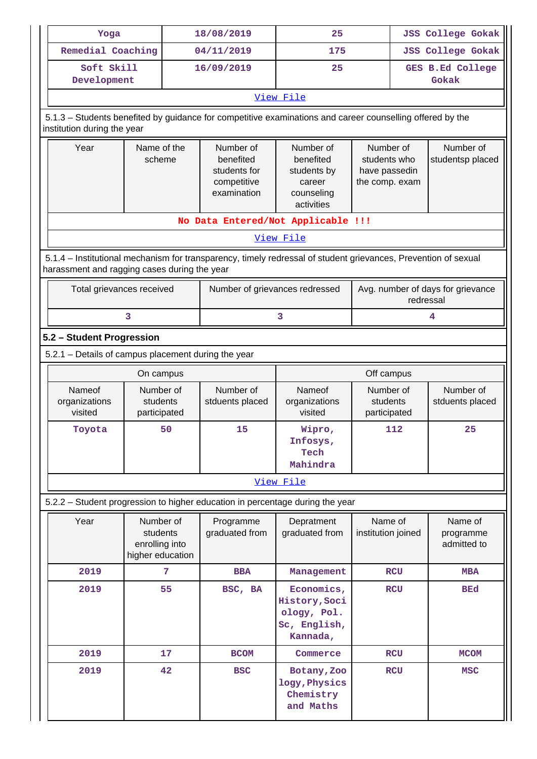| Yoga                                                                                                                                                           |                                                             |  | 18/08/2019                                                           | 25                                                                                                        |                                                              | <b>JSS College Gokak</b>                       |  |  |  |  |
|----------------------------------------------------------------------------------------------------------------------------------------------------------------|-------------------------------------------------------------|--|----------------------------------------------------------------------|-----------------------------------------------------------------------------------------------------------|--------------------------------------------------------------|------------------------------------------------|--|--|--|--|
| Remedial Coaching                                                                                                                                              |                                                             |  | 04/11/2019                                                           | 175                                                                                                       |                                                              | <b>JSS College Gokak</b>                       |  |  |  |  |
| Soft Skill<br>Development                                                                                                                                      |                                                             |  | 16/09/2019                                                           | 25                                                                                                        |                                                              | <b>GES B.Ed College</b><br>Gokak               |  |  |  |  |
|                                                                                                                                                                |                                                             |  |                                                                      | View File                                                                                                 |                                                              |                                                |  |  |  |  |
| institution during the year                                                                                                                                    |                                                             |  |                                                                      | 5.1.3 - Students benefited by guidance for competitive examinations and career counselling offered by the |                                                              |                                                |  |  |  |  |
| Name of the<br>Year<br>scheme                                                                                                                                  |                                                             |  | Number of<br>benefited<br>students for<br>competitive<br>examination | Number of<br>benefited<br>students by<br>career<br>counseling<br>activities                               | Number of<br>students who<br>have passedin<br>the comp. exam | Number of<br>studentsp placed                  |  |  |  |  |
| No Data Entered/Not Applicable !!!                                                                                                                             |                                                             |  |                                                                      |                                                                                                           |                                                              |                                                |  |  |  |  |
|                                                                                                                                                                |                                                             |  |                                                                      | View File                                                                                                 |                                                              |                                                |  |  |  |  |
| 5.1.4 – Institutional mechanism for transparency, timely redressal of student grievances, Prevention of sexual<br>harassment and ragging cases during the year |                                                             |  |                                                                      |                                                                                                           |                                                              |                                                |  |  |  |  |
| Total grievances received                                                                                                                                      |                                                             |  | Number of grievances redressed                                       |                                                                                                           |                                                              | Avg. number of days for grievance<br>redressal |  |  |  |  |
|                                                                                                                                                                | 3                                                           |  |                                                                      | 3                                                                                                         |                                                              | 4                                              |  |  |  |  |
| 5.2 - Student Progression                                                                                                                                      |                                                             |  |                                                                      |                                                                                                           |                                                              |                                                |  |  |  |  |
| 5.2.1 - Details of campus placement during the year                                                                                                            |                                                             |  |                                                                      |                                                                                                           |                                                              |                                                |  |  |  |  |
|                                                                                                                                                                | On campus                                                   |  |                                                                      |                                                                                                           | Off campus                                                   |                                                |  |  |  |  |
| Nameof<br>organizations<br>visited                                                                                                                             | Number of<br>students<br>participated                       |  | Number of<br>stduents placed                                         | Nameof<br>organizations<br>visited                                                                        | Number of<br>students<br>participated                        | Number of<br>stduents placed                   |  |  |  |  |
| Toyota                                                                                                                                                         | 50                                                          |  | 15                                                                   | Wipro,<br>Infosys,<br>Tech<br>Mahindra                                                                    | 112                                                          | 25                                             |  |  |  |  |
|                                                                                                                                                                |                                                             |  |                                                                      | View File                                                                                                 |                                                              |                                                |  |  |  |  |
|                                                                                                                                                                |                                                             |  |                                                                      | 5.2.2 - Student progression to higher education in percentage during the year                             |                                                              |                                                |  |  |  |  |
| Year                                                                                                                                                           | Number of<br>students<br>enrolling into<br>higher education |  | Programme<br>graduated from                                          | Depratment<br>graduated from                                                                              | Name of<br>institution joined                                | Name of<br>programme<br>admitted to            |  |  |  |  |
| 2019                                                                                                                                                           | 7                                                           |  | <b>BBA</b>                                                           | Management                                                                                                | <b>RCU</b>                                                   | <b>MBA</b>                                     |  |  |  |  |
| 2019                                                                                                                                                           | 55                                                          |  | BSC, BA                                                              | Economics,<br>History, Soci<br>ology, Pol.<br>Sc, English,<br>Kannada,                                    | <b>RCU</b>                                                   | <b>BEd</b>                                     |  |  |  |  |
| 2019                                                                                                                                                           | 17                                                          |  | <b>BCOM</b>                                                          | Commerce                                                                                                  | <b>RCU</b>                                                   | <b>MCOM</b>                                    |  |  |  |  |
| 2019                                                                                                                                                           | 42                                                          |  | <b>BSC</b>                                                           | Botany, Zoo<br>logy, Physics<br>Chemistry<br>and Maths                                                    | <b>RCU</b>                                                   | <b>MSC</b>                                     |  |  |  |  |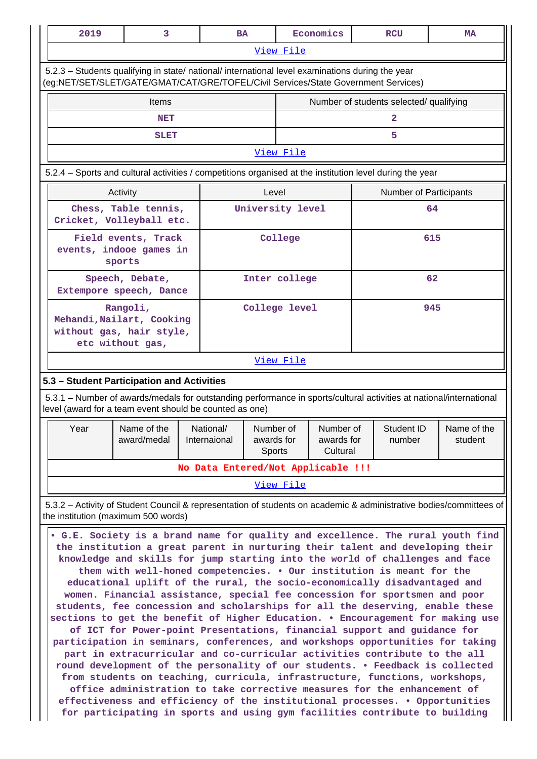|                                                                                                          | 2019                                                                                                                                                                                                                                                                                                                                                                                                                                                                                                                                                                                                                                                                                                                                                                                                                                                                                                                                                                                                                                                                                                                                                                                                                                                                                                                                                                                                                                                                         | 3                                                                                                                                                                                      |  | <b>BA</b>                          |                                   |                  | Economics                           |  | <b>RCU</b>                              | <b>MA</b>                                                                                                           |
|----------------------------------------------------------------------------------------------------------|------------------------------------------------------------------------------------------------------------------------------------------------------------------------------------------------------------------------------------------------------------------------------------------------------------------------------------------------------------------------------------------------------------------------------------------------------------------------------------------------------------------------------------------------------------------------------------------------------------------------------------------------------------------------------------------------------------------------------------------------------------------------------------------------------------------------------------------------------------------------------------------------------------------------------------------------------------------------------------------------------------------------------------------------------------------------------------------------------------------------------------------------------------------------------------------------------------------------------------------------------------------------------------------------------------------------------------------------------------------------------------------------------------------------------------------------------------------------------|----------------------------------------------------------------------------------------------------------------------------------------------------------------------------------------|--|------------------------------------|-----------------------------------|------------------|-------------------------------------|--|-----------------------------------------|---------------------------------------------------------------------------------------------------------------------|
|                                                                                                          |                                                                                                                                                                                                                                                                                                                                                                                                                                                                                                                                                                                                                                                                                                                                                                                                                                                                                                                                                                                                                                                                                                                                                                                                                                                                                                                                                                                                                                                                              |                                                                                                                                                                                        |  |                                    |                                   | View File        |                                     |  |                                         |                                                                                                                     |
|                                                                                                          |                                                                                                                                                                                                                                                                                                                                                                                                                                                                                                                                                                                                                                                                                                                                                                                                                                                                                                                                                                                                                                                                                                                                                                                                                                                                                                                                                                                                                                                                              | 5.2.3 - Students qualifying in state/ national/ international level examinations during the year<br>(eg:NET/SET/SLET/GATE/GMAT/CAT/GRE/TOFEL/Civil Services/State Government Services) |  |                                    |                                   |                  |                                     |  |                                         |                                                                                                                     |
|                                                                                                          |                                                                                                                                                                                                                                                                                                                                                                                                                                                                                                                                                                                                                                                                                                                                                                                                                                                                                                                                                                                                                                                                                                                                                                                                                                                                                                                                                                                                                                                                              | Items                                                                                                                                                                                  |  |                                    |                                   |                  |                                     |  | Number of students selected/ qualifying |                                                                                                                     |
|                                                                                                          |                                                                                                                                                                                                                                                                                                                                                                                                                                                                                                                                                                                                                                                                                                                                                                                                                                                                                                                                                                                                                                                                                                                                                                                                                                                                                                                                                                                                                                                                              | <b>NET</b>                                                                                                                                                                             |  |                                    |                                   |                  |                                     |  | 2                                       |                                                                                                                     |
|                                                                                                          |                                                                                                                                                                                                                                                                                                                                                                                                                                                                                                                                                                                                                                                                                                                                                                                                                                                                                                                                                                                                                                                                                                                                                                                                                                                                                                                                                                                                                                                                              | <b>SLET</b>                                                                                                                                                                            |  |                                    |                                   |                  |                                     |  | 5                                       |                                                                                                                     |
| View File                                                                                                |                                                                                                                                                                                                                                                                                                                                                                                                                                                                                                                                                                                                                                                                                                                                                                                                                                                                                                                                                                                                                                                                                                                                                                                                                                                                                                                                                                                                                                                                              |                                                                                                                                                                                        |  |                                    |                                   |                  |                                     |  |                                         |                                                                                                                     |
| 5.2.4 – Sports and cultural activities / competitions organised at the institution level during the year |                                                                                                                                                                                                                                                                                                                                                                                                                                                                                                                                                                                                                                                                                                                                                                                                                                                                                                                                                                                                                                                                                                                                                                                                                                                                                                                                                                                                                                                                              |                                                                                                                                                                                        |  |                                    |                                   |                  |                                     |  |                                         |                                                                                                                     |
|                                                                                                          | Activity                                                                                                                                                                                                                                                                                                                                                                                                                                                                                                                                                                                                                                                                                                                                                                                                                                                                                                                                                                                                                                                                                                                                                                                                                                                                                                                                                                                                                                                                     |                                                                                                                                                                                        |  |                                    |                                   | Level            |                                     |  | Number of Participants                  |                                                                                                                     |
|                                                                                                          |                                                                                                                                                                                                                                                                                                                                                                                                                                                                                                                                                                                                                                                                                                                                                                                                                                                                                                                                                                                                                                                                                                                                                                                                                                                                                                                                                                                                                                                                              | Chess, Table tennis,<br>Cricket, Volleyball etc.                                                                                                                                       |  |                                    | University level                  |                  |                                     |  |                                         | 64                                                                                                                  |
|                                                                                                          | Field events, Track<br>events, indooe games in<br>sports                                                                                                                                                                                                                                                                                                                                                                                                                                                                                                                                                                                                                                                                                                                                                                                                                                                                                                                                                                                                                                                                                                                                                                                                                                                                                                                                                                                                                     |                                                                                                                                                                                        |  |                                    |                                   | College          |                                     |  |                                         | 615                                                                                                                 |
| 62<br>Speech, Debate,<br>Inter college<br>Extempore speech, Dance                                        |                                                                                                                                                                                                                                                                                                                                                                                                                                                                                                                                                                                                                                                                                                                                                                                                                                                                                                                                                                                                                                                                                                                                                                                                                                                                                                                                                                                                                                                                              |                                                                                                                                                                                        |  |                                    |                                   |                  |                                     |  |                                         |                                                                                                                     |
| Rangoli,<br>College level<br>Mehandi, Nailart, Cooking<br>without gas, hair style,<br>etc without gas,   |                                                                                                                                                                                                                                                                                                                                                                                                                                                                                                                                                                                                                                                                                                                                                                                                                                                                                                                                                                                                                                                                                                                                                                                                                                                                                                                                                                                                                                                                              |                                                                                                                                                                                        |  |                                    |                                   |                  |                                     |  | 945                                     |                                                                                                                     |
|                                                                                                          |                                                                                                                                                                                                                                                                                                                                                                                                                                                                                                                                                                                                                                                                                                                                                                                                                                                                                                                                                                                                                                                                                                                                                                                                                                                                                                                                                                                                                                                                              |                                                                                                                                                                                        |  |                                    |                                   | View File        |                                     |  |                                         |                                                                                                                     |
|                                                                                                          | 5.3 - Student Participation and Activities                                                                                                                                                                                                                                                                                                                                                                                                                                                                                                                                                                                                                                                                                                                                                                                                                                                                                                                                                                                                                                                                                                                                                                                                                                                                                                                                                                                                                                   |                                                                                                                                                                                        |  |                                    |                                   |                  |                                     |  |                                         |                                                                                                                     |
|                                                                                                          |                                                                                                                                                                                                                                                                                                                                                                                                                                                                                                                                                                                                                                                                                                                                                                                                                                                                                                                                                                                                                                                                                                                                                                                                                                                                                                                                                                                                                                                                              | level (award for a team event should be counted as one)                                                                                                                                |  |                                    |                                   |                  |                                     |  |                                         | 5.3.1 – Number of awards/medals for outstanding performance in sports/cultural activities at national/international |
| Year                                                                                                     |                                                                                                                                                                                                                                                                                                                                                                                                                                                                                                                                                                                                                                                                                                                                                                                                                                                                                                                                                                                                                                                                                                                                                                                                                                                                                                                                                                                                                                                                              | Name of the<br>award/medal                                                                                                                                                             |  | National/<br>Internaional          | Number of<br>awards for<br>Sports |                  | Number of<br>awards for<br>Cultural |  | Student ID<br>number                    | Name of the<br>student                                                                                              |
|                                                                                                          |                                                                                                                                                                                                                                                                                                                                                                                                                                                                                                                                                                                                                                                                                                                                                                                                                                                                                                                                                                                                                                                                                                                                                                                                                                                                                                                                                                                                                                                                              |                                                                                                                                                                                        |  | No Data Entered/Not Applicable !!! |                                   |                  |                                     |  |                                         |                                                                                                                     |
|                                                                                                          |                                                                                                                                                                                                                                                                                                                                                                                                                                                                                                                                                                                                                                                                                                                                                                                                                                                                                                                                                                                                                                                                                                                                                                                                                                                                                                                                                                                                                                                                              |                                                                                                                                                                                        |  |                                    |                                   | <u>View File</u> |                                     |  |                                         |                                                                                                                     |
|                                                                                                          |                                                                                                                                                                                                                                                                                                                                                                                                                                                                                                                                                                                                                                                                                                                                                                                                                                                                                                                                                                                                                                                                                                                                                                                                                                                                                                                                                                                                                                                                              |                                                                                                                                                                                        |  |                                    |                                   |                  |                                     |  |                                         |                                                                                                                     |
|                                                                                                          | 5.3.2 – Activity of Student Council & representation of students on academic & administrative bodies/committees of<br>the institution (maximum 500 words)<br>• G.E. Society is a brand name for quality and excellence. The rural youth find<br>the institution a great parent in nurturing their talent and developing their<br>knowledge and skills for jump starting into the world of challenges and face<br>them with well-honed competencies. . Our institution is meant for the<br>educational uplift of the rural, the socio-economically disadvantaged and<br>women. Financial assistance, special fee concession for sportsmen and poor<br>students, fee concession and scholarships for all the deserving, enable these<br>sections to get the benefit of Higher Education. . Encouragement for making use<br>of ICT for Power-point Presentations, financial support and guidance for<br>participation in seminars, conferences, and workshops opportunities for taking<br>part in extracurricular and co-curricular activities contribute to the all<br>round development of the personality of our students. . Feedback is collected<br>from students on teaching, curricula, infrastructure, functions, workshops,<br>office administration to take corrective measures for the enhancement of<br>effectiveness and efficiency of the institutional processes. . Opportunities<br>for participating in sports and using gym facilities contribute to building |                                                                                                                                                                                        |  |                                    |                                   |                  |                                     |  |                                         |                                                                                                                     |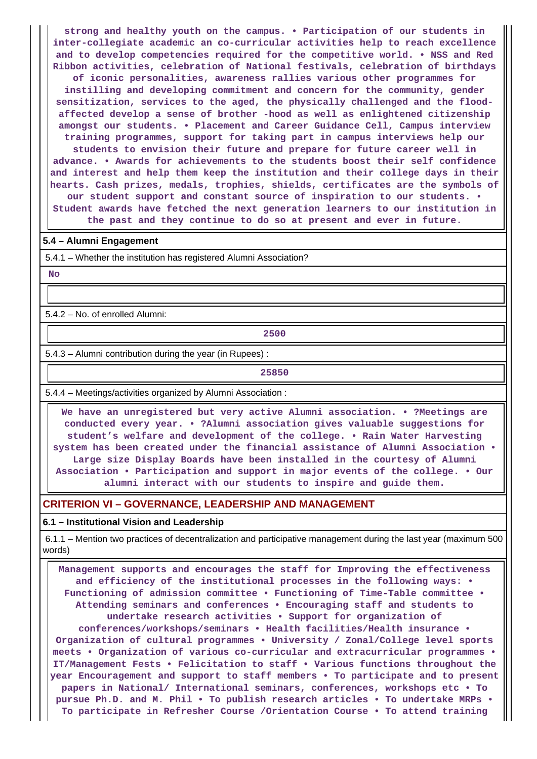**strong and healthy youth on the campus. • Participation of our students in inter-collegiate academic an co-curricular activities help to reach excellence and to develop competencies required for the competitive world. • NSS and Red Ribbon activities, celebration of National festivals, celebration of birthdays of iconic personalities, awareness rallies various other programmes for instilling and developing commitment and concern for the community, gender sensitization, services to the aged, the physically challenged and the floodaffected develop a sense of brother -hood as well as enlightened citizenship amongst our students. • Placement and Career Guidance Cell, Campus interview training programmes, support for taking part in campus interviews help our students to envision their future and prepare for future career well in advance. • Awards for achievements to the students boost their self confidence and interest and help them keep the institution and their college days in their hearts. Cash prizes, medals, trophies, shields, certificates are the symbols of our student support and constant source of inspiration to our students. • Student awards have fetched the next generation learners to our institution in the past and they continue to do so at present and ever in future.**

### **5.4 – Alumni Engagement**

5.4.1 – Whether the institution has registered Alumni Association?

 **No**

5.4.2 – No. of enrolled Alumni:

**2500** 

5.4.3 – Alumni contribution during the year (in Rupees) :

**25850**

5.4.4 – Meetings/activities organized by Alumni Association :

 **We have an unregistered but very active Alumni association. • ?Meetings are conducted every year. • ?Alumni association gives valuable suggestions for student's welfare and development of the college. • Rain Water Harvesting system has been created under the financial assistance of Alumni Association • Large size Display Boards have been installed in the courtesy of Alumni Association • Participation and support in major events of the college. • Our alumni interact with our students to inspire and guide them.**

## **CRITERION VI – GOVERNANCE, LEADERSHIP AND MANAGEMENT**

#### **6.1 – Institutional Vision and Leadership**

 6.1.1 – Mention two practices of decentralization and participative management during the last year (maximum 500 words)

 **Management supports and encourages the staff for Improving the effectiveness and efficiency of the institutional processes in the following ways: • Functioning of admission committee • Functioning of Time-Table committee • Attending seminars and conferences • Encouraging staff and students to undertake research activities • Support for organization of conferences/workshops/seminars • Health facilities/Health insurance • Organization of cultural programmes • University / Zonal/College level sports meets • Organization of various co-curricular and extracurricular programmes • IT/Management Fests • Felicitation to staff • Various functions throughout the year Encouragement and support to staff members • To participate and to present papers in National/ International seminars, conferences, workshops etc • To pursue Ph.D. and M. Phil • To publish research articles • To undertake MRPs • To participate in Refresher Course /Orientation Course • To attend training**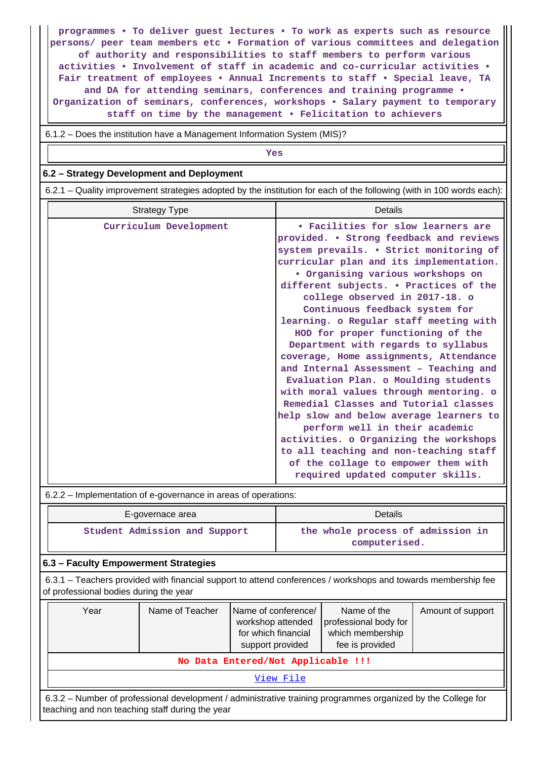**programmes • To deliver guest lectures • To work as experts such as resource persons/ peer team members etc • Formation of various committees and delegation of authority and responsibilities to staff members to perform various activities • Involvement of staff in academic and co-curricular activities • Fair treatment of employees • Annual Increments to staff • Special leave, TA and DA for attending seminars, conferences and training programme • Organization of seminars, conferences, workshops • Salary payment to temporary staff on time by the management • Felicitation to achievers**

6.1.2 – Does the institution have a Management Information System (MIS)?

## *Yes*

## **6.2 – Strategy Development and Deployment**

6.2.1 – Quality improvement strategies adopted by the institution for each of the following (with in 100 words each):

| <b>Strategy Type</b>   | Details                                                                                                                                                                                                                                                                            |  |  |  |  |  |
|------------------------|------------------------------------------------------------------------------------------------------------------------------------------------------------------------------------------------------------------------------------------------------------------------------------|--|--|--|--|--|
| Curriculum Development | • Facilities for slow learners are<br>provided. • Strong feedback and reviews<br>system prevails. . Strict monitoring of<br>curricular plan and its implementation.                                                                                                                |  |  |  |  |  |
|                        | • Organising various workshops on<br>different subjects. . Practices of the<br>college observed in 2017-18. o<br>Continuous feedback system for<br>learning. o Regular staff meeting with                                                                                          |  |  |  |  |  |
|                        | HOD for proper functioning of the<br>Department with regards to syllabus<br>coverage, Home assignments, Attendance<br>and Internal Assessment - Teaching and<br>Evaluation Plan. o Moulding students<br>with moral values through mentoring. o                                     |  |  |  |  |  |
|                        | Remedial Classes and Tutorial classes<br>help slow and below average learners to<br>perform well in their academic<br>activities. o Organizing the workshops<br>to all teaching and non-teaching staff<br>of the collage to empower them with<br>required updated computer skills. |  |  |  |  |  |

6.2.2 – Implementation of e-governance in areas of operations:

| E-governace area              | Details                                            |  |  |  |  |
|-------------------------------|----------------------------------------------------|--|--|--|--|
| Student Admission and Support | the whole process of admission in<br>computerised. |  |  |  |  |

### **6.3 – Faculty Empowerment Strategies**

 6.3.1 – Teachers provided with financial support to attend conferences / workshops and towards membership fee of professional bodies during the year

| Year                                                                                                                                                            | Name of Teacher | Name of conference/<br>workshop attended<br>for which financial<br>support provided | Name of the<br>professional body for<br>which membership<br>fee is provided | Amount of support |  |  |  |  |
|-----------------------------------------------------------------------------------------------------------------------------------------------------------------|-----------------|-------------------------------------------------------------------------------------|-----------------------------------------------------------------------------|-------------------|--|--|--|--|
| No Data Entered/Not Applicable !!!                                                                                                                              |                 |                                                                                     |                                                                             |                   |  |  |  |  |
| View File                                                                                                                                                       |                 |                                                                                     |                                                                             |                   |  |  |  |  |
| 6.3.2 – Number of professional development / administrative training programmes organized by the College for<br>teaching and non teaching staff during the year |                 |                                                                                     |                                                                             |                   |  |  |  |  |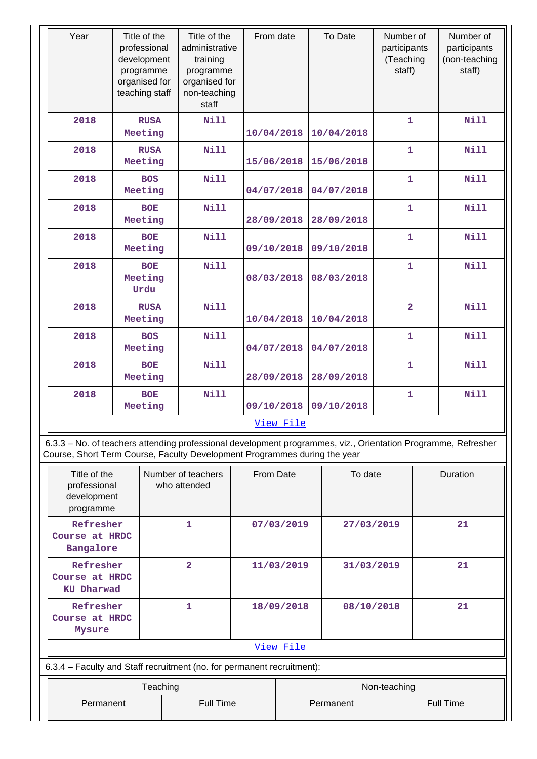| Year | Title of the<br>professional<br>development<br>programme<br>organised for<br>teaching staff | Title of the<br>administrative<br>training<br>programme<br>organised for<br>non-teaching<br>staff | From date  | To Date    | Number of<br>participants<br>(Teaching<br>staff) | Number of<br>participants<br>(non-teaching<br>staff) |
|------|---------------------------------------------------------------------------------------------|---------------------------------------------------------------------------------------------------|------------|------------|--------------------------------------------------|------------------------------------------------------|
| 2018 | <b>RUSA</b><br>Meeting                                                                      | <b>Nill</b>                                                                                       | 10/04/2018 | 10/04/2018 | $\mathbf{1}$                                     | Nill                                                 |
| 2018 | <b>RUSA</b><br>Meeting                                                                      | Nill                                                                                              | 15/06/2018 | 15/06/2018 | $\mathbf{1}$                                     | <b>Nill</b>                                          |
| 2018 | <b>BOS</b><br>Meeting                                                                       | <b>Nill</b>                                                                                       | 04/07/2018 | 04/07/2018 | $\mathbf{1}$                                     | <b>Nill</b>                                          |
| 2018 | <b>BOE</b><br>Meeting                                                                       | <b>Nill</b>                                                                                       | 28/09/2018 | 28/09/2018 | $\mathbf{1}$                                     | <b>Nill</b>                                          |
| 2018 | <b>BOE</b><br>Meeting                                                                       | <b>Nill</b>                                                                                       | 09/10/2018 | 09/10/2018 | $\mathbf{1}$                                     | <b>Nill</b>                                          |
| 2018 | <b>BOE</b><br>Meeting<br>Urdu                                                               | <b>Nill</b>                                                                                       | 08/03/2018 | 08/03/2018 | $\overline{1}$                                   | <b>Nill</b>                                          |
| 2018 | <b>RUSA</b><br>Meeting                                                                      | <b>Nill</b>                                                                                       | 10/04/2018 | 10/04/2018 | $\overline{2}$                                   | <b>Nill</b>                                          |
| 2018 | <b>BOS</b><br>Meeting                                                                       | Nill                                                                                              | 04/07/2018 | 04/07/2018 | $\overline{1}$                                   | Nill                                                 |
| 2018 | <b>BOE</b><br>Meeting                                                                       | <b>Nill</b>                                                                                       | 28/09/2018 | 28/09/2018 | $\mathbf{1}$                                     | <b>Nill</b>                                          |
| 2018 | <b>BOE</b><br>Meeting                                                                       | <b>Nill</b>                                                                                       | 09/10/2018 | 09/10/2018 | 1                                                | <b>Nill</b>                                          |
|      |                                                                                             |                                                                                                   | View File  |            |                                                  |                                                      |

 6.3.3 – No. of teachers attending professional development programmes, viz., Orientation Programme, Refresher Course, Short Term Course, Faculty Development Programmes during the year

| Title of the<br>professional<br>development<br>programme               | Number of teachers<br>who attended | From Date  |              | To date                       | Duration |  |  |  |  |  |
|------------------------------------------------------------------------|------------------------------------|------------|--------------|-------------------------------|----------|--|--|--|--|--|
| Refresher<br>Course at HRDC<br>Bangalore                               | 1                                  |            | 07/03/2019   | 27/03/2019                    | 21       |  |  |  |  |  |
| Refresher<br>Course at HRDC<br><b>KU Dharwad</b>                       | $\overline{\mathbf{2}}$            |            | 11/03/2019   | 31/03/2019                    | 21       |  |  |  |  |  |
| Refresher<br>Course at HRDC<br>Mysure                                  | 1                                  | 18/09/2018 |              | 08/10/2018                    | 21       |  |  |  |  |  |
|                                                                        | View File                          |            |              |                               |          |  |  |  |  |  |
| 6.3.4 - Faculty and Staff recruitment (no. for permanent recruitment): |                                    |            |              |                               |          |  |  |  |  |  |
|                                                                        | Teaching                           |            | Non-teaching |                               |          |  |  |  |  |  |
| Permanent                                                              | <b>Full Time</b>                   |            |              | <b>Full Time</b><br>Permanent |          |  |  |  |  |  |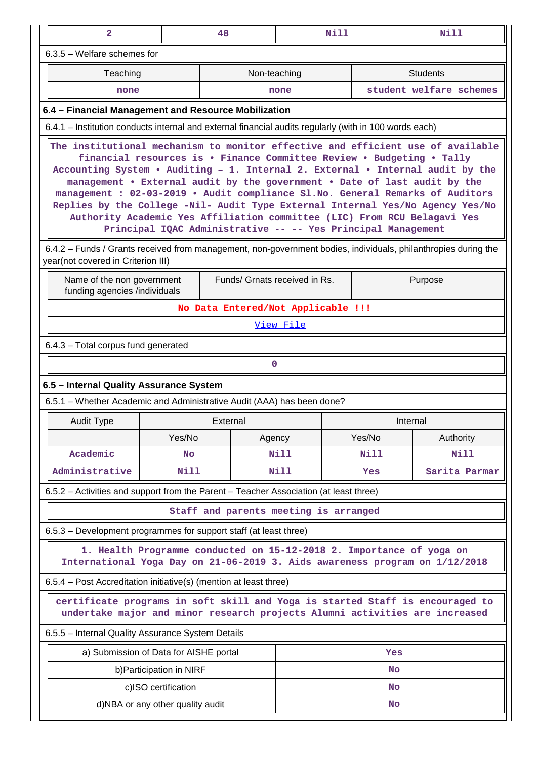| $\overline{2}$                                                                                                                                       |                                                                                                                                                                                                                                                                                                                                                                                                                                                                                                                                                                                                                                        | 48       | Nill                                  |             | Nill                                                                                                                                                         |  |  |  |
|------------------------------------------------------------------------------------------------------------------------------------------------------|----------------------------------------------------------------------------------------------------------------------------------------------------------------------------------------------------------------------------------------------------------------------------------------------------------------------------------------------------------------------------------------------------------------------------------------------------------------------------------------------------------------------------------------------------------------------------------------------------------------------------------------|----------|---------------------------------------|-------------|--------------------------------------------------------------------------------------------------------------------------------------------------------------|--|--|--|
| 6.3.5 - Welfare schemes for                                                                                                                          |                                                                                                                                                                                                                                                                                                                                                                                                                                                                                                                                                                                                                                        |          |                                       |             |                                                                                                                                                              |  |  |  |
| Teaching                                                                                                                                             |                                                                                                                                                                                                                                                                                                                                                                                                                                                                                                                                                                                                                                        |          | Non-teaching                          |             | <b>Students</b>                                                                                                                                              |  |  |  |
| none                                                                                                                                                 |                                                                                                                                                                                                                                                                                                                                                                                                                                                                                                                                                                                                                                        |          | none                                  |             | student welfare schemes                                                                                                                                      |  |  |  |
| 6.4 - Financial Management and Resource Mobilization                                                                                                 |                                                                                                                                                                                                                                                                                                                                                                                                                                                                                                                                                                                                                                        |          |                                       |             |                                                                                                                                                              |  |  |  |
| 6.4.1 – Institution conducts internal and external financial audits regularly (with in 100 words each)                                               |                                                                                                                                                                                                                                                                                                                                                                                                                                                                                                                                                                                                                                        |          |                                       |             |                                                                                                                                                              |  |  |  |
|                                                                                                                                                      | The institutional mechanism to monitor effective and efficient use of available<br>financial resources is . Finance Committee Review . Budgeting . Tally<br>Accounting System . Auditing - 1. Internal 2. External . Internal audit by the<br>management . External audit by the government . Date of last audit by the<br>management : 02-03-2019 . Audit compliance Sl.No. General Remarks of Auditors<br>Replies by the College -Nil- Audit Type External Internal Yes/No Agency Yes/No<br>Authority Academic Yes Affiliation committee (LIC) From RCU Belagavi Yes<br>Principal IQAC Administrative -- -- Yes Principal Management |          |                                       |             |                                                                                                                                                              |  |  |  |
| 6.4.2 – Funds / Grants received from management, non-government bodies, individuals, philanthropies during the<br>year(not covered in Criterion III) |                                                                                                                                                                                                                                                                                                                                                                                                                                                                                                                                                                                                                                        |          |                                       |             |                                                                                                                                                              |  |  |  |
| Name of the non government<br>Funds/ Grnats received in Rs.<br>Purpose<br>funding agencies /individuals                                              |                                                                                                                                                                                                                                                                                                                                                                                                                                                                                                                                                                                                                                        |          |                                       |             |                                                                                                                                                              |  |  |  |
| No Data Entered/Not Applicable !!!                                                                                                                   |                                                                                                                                                                                                                                                                                                                                                                                                                                                                                                                                                                                                                                        |          |                                       |             |                                                                                                                                                              |  |  |  |
| <u>View File</u>                                                                                                                                     |                                                                                                                                                                                                                                                                                                                                                                                                                                                                                                                                                                                                                                        |          |                                       |             |                                                                                                                                                              |  |  |  |
| 6.4.3 - Total corpus fund generated                                                                                                                  |                                                                                                                                                                                                                                                                                                                                                                                                                                                                                                                                                                                                                                        |          |                                       |             |                                                                                                                                                              |  |  |  |
| $\mathbf 0$                                                                                                                                          |                                                                                                                                                                                                                                                                                                                                                                                                                                                                                                                                                                                                                                        |          |                                       |             |                                                                                                                                                              |  |  |  |
|                                                                                                                                                      |                                                                                                                                                                                                                                                                                                                                                                                                                                                                                                                                                                                                                                        |          |                                       |             |                                                                                                                                                              |  |  |  |
| 6.5 - Internal Quality Assurance System                                                                                                              |                                                                                                                                                                                                                                                                                                                                                                                                                                                                                                                                                                                                                                        |          |                                       |             |                                                                                                                                                              |  |  |  |
| 6.5.1 – Whether Academic and Administrative Audit (AAA) has been done?                                                                               |                                                                                                                                                                                                                                                                                                                                                                                                                                                                                                                                                                                                                                        |          |                                       |             |                                                                                                                                                              |  |  |  |
| <b>Audit Type</b>                                                                                                                                    |                                                                                                                                                                                                                                                                                                                                                                                                                                                                                                                                                                                                                                        | External |                                       |             | Internal                                                                                                                                                     |  |  |  |
|                                                                                                                                                      | Yes/No                                                                                                                                                                                                                                                                                                                                                                                                                                                                                                                                                                                                                                 |          | Agency                                | Yes/No      | Authority                                                                                                                                                    |  |  |  |
| Academic                                                                                                                                             | <b>No</b>                                                                                                                                                                                                                                                                                                                                                                                                                                                                                                                                                                                                                              |          | <b>Nill</b>                           | <b>Nill</b> | Nill                                                                                                                                                         |  |  |  |
| Administrative                                                                                                                                       | Nill                                                                                                                                                                                                                                                                                                                                                                                                                                                                                                                                                                                                                                   |          | Nill                                  | Yes         | Sarita Parmar                                                                                                                                                |  |  |  |
| 6.5.2 - Activities and support from the Parent - Teacher Association (at least three)                                                                |                                                                                                                                                                                                                                                                                                                                                                                                                                                                                                                                                                                                                                        |          |                                       |             |                                                                                                                                                              |  |  |  |
|                                                                                                                                                      |                                                                                                                                                                                                                                                                                                                                                                                                                                                                                                                                                                                                                                        |          | Staff and parents meeting is arranged |             |                                                                                                                                                              |  |  |  |
| 6.5.3 - Development programmes for support staff (at least three)                                                                                    |                                                                                                                                                                                                                                                                                                                                                                                                                                                                                                                                                                                                                                        |          |                                       |             |                                                                                                                                                              |  |  |  |
|                                                                                                                                                      |                                                                                                                                                                                                                                                                                                                                                                                                                                                                                                                                                                                                                                        |          |                                       |             | 1. Health Programme conducted on 15-12-2018 2. Importance of yoga on<br>International Yoga Day on 21-06-2019 3. Aids awareness program on 1/12/2018          |  |  |  |
| 6.5.4 – Post Accreditation initiative(s) (mention at least three)                                                                                    |                                                                                                                                                                                                                                                                                                                                                                                                                                                                                                                                                                                                                                        |          |                                       |             |                                                                                                                                                              |  |  |  |
|                                                                                                                                                      |                                                                                                                                                                                                                                                                                                                                                                                                                                                                                                                                                                                                                                        |          |                                       |             | certificate programs in soft skill and Yoga is started Staff is encouraged to<br>undertake major and minor research projects Alumni activities are increased |  |  |  |
| 6.5.5 - Internal Quality Assurance System Details                                                                                                    |                                                                                                                                                                                                                                                                                                                                                                                                                                                                                                                                                                                                                                        |          |                                       |             |                                                                                                                                                              |  |  |  |
|                                                                                                                                                      | a) Submission of Data for AISHE portal                                                                                                                                                                                                                                                                                                                                                                                                                                                                                                                                                                                                 |          |                                       |             | Yes                                                                                                                                                          |  |  |  |
|                                                                                                                                                      | b) Participation in NIRF                                                                                                                                                                                                                                                                                                                                                                                                                                                                                                                                                                                                               |          |                                       |             | No                                                                                                                                                           |  |  |  |
|                                                                                                                                                      | c)ISO certification                                                                                                                                                                                                                                                                                                                                                                                                                                                                                                                                                                                                                    |          |                                       |             | No                                                                                                                                                           |  |  |  |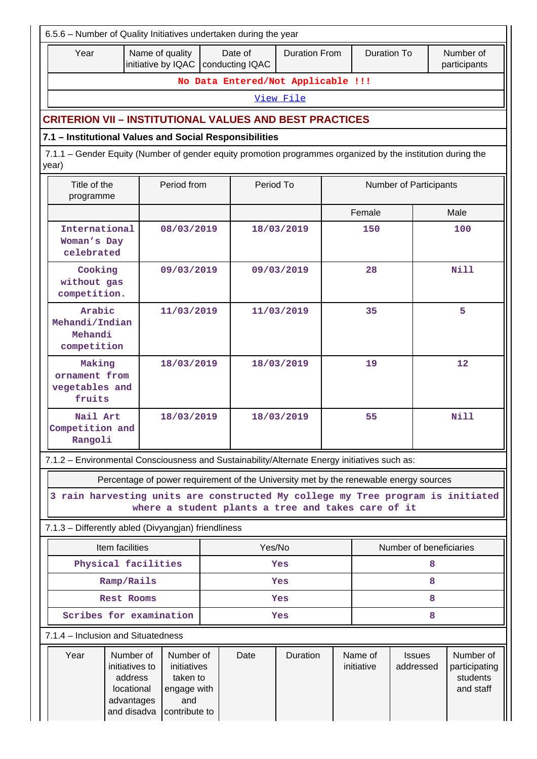|                                                                                                                      | 6.5.6 - Number of Quality Initiatives undertaken during the year                  |                                                                             |            |                                                 |                                                                                       |    |                               |                            |                                                     |  |
|----------------------------------------------------------------------------------------------------------------------|-----------------------------------------------------------------------------------|-----------------------------------------------------------------------------|------------|-------------------------------------------------|---------------------------------------------------------------------------------------|----|-------------------------------|----------------------------|-----------------------------------------------------|--|
| Year                                                                                                                 |                                                                                   | Name of quality                                                             |            | Date of<br>initiative by IQAC   conducting IQAC | <b>Duration From</b>                                                                  |    | <b>Duration To</b>            |                            | Number of<br>participants                           |  |
|                                                                                                                      |                                                                                   |                                                                             |            |                                                 | No Data Entered/Not Applicable !!!                                                    |    |                               |                            |                                                     |  |
|                                                                                                                      |                                                                                   |                                                                             |            |                                                 | View File                                                                             |    |                               |                            |                                                     |  |
| <b>CRITERION VII – INSTITUTIONAL VALUES AND BEST PRACTICES</b>                                                       |                                                                                   |                                                                             |            |                                                 |                                                                                       |    |                               |                            |                                                     |  |
| 7.1 - Institutional Values and Social Responsibilities                                                               |                                                                                   |                                                                             |            |                                                 |                                                                                       |    |                               |                            |                                                     |  |
| 7.1.1 – Gender Equity (Number of gender equity promotion programmes organized by the institution during the<br>year) |                                                                                   |                                                                             |            |                                                 |                                                                                       |    |                               |                            |                                                     |  |
| Title of the<br>programme                                                                                            | Period from                                                                       |                                                                             |            | Period To                                       |                                                                                       |    | <b>Number of Participants</b> |                            |                                                     |  |
|                                                                                                                      |                                                                                   |                                                                             |            |                                                 |                                                                                       |    | Female                        |                            | Male                                                |  |
| International<br>Woman's Day<br>celebrated                                                                           |                                                                                   | 08/03/2019                                                                  |            |                                                 | 18/03/2019                                                                            |    | 150                           |                            | 100                                                 |  |
| Cooking<br>without gas<br>competition.                                                                               |                                                                                   | 09/03/2019                                                                  |            |                                                 | 09/03/2019                                                                            |    | 28                            |                            | <b>Nill</b>                                         |  |
| Arabic<br>Mehandi/Indian<br>Mehandi<br>competition                                                                   |                                                                                   | 11/03/2019                                                                  |            |                                                 | 11/03/2019                                                                            | 35 |                               |                            | 5                                                   |  |
| Making<br>ornament from<br>vegetables and<br>fruits                                                                  |                                                                                   | 18/03/2019                                                                  |            | 18/03/2019                                      |                                                                                       |    | 19                            |                            | 12                                                  |  |
| Nail Art<br>Competition and<br>Rangoli                                                                               |                                                                                   | 18/03/2019                                                                  | 18/03/2019 |                                                 | 55                                                                                    |    |                               | <b>Nill</b>                |                                                     |  |
| 7.1.2 - Environmental Consciousness and Sustainability/Alternate Energy initiatives such as:                         |                                                                                   |                                                                             |            |                                                 |                                                                                       |    |                               |                            |                                                     |  |
|                                                                                                                      |                                                                                   |                                                                             |            |                                                 | Percentage of power requirement of the University met by the renewable energy sources |    |                               |                            |                                                     |  |
| 3 rain harvesting units are constructed My college my Tree program is initiated                                      |                                                                                   |                                                                             |            |                                                 | where a student plants a tree and takes care of it                                    |    |                               |                            |                                                     |  |
| 7.1.3 - Differently abled (Divyangjan) friendliness                                                                  |                                                                                   |                                                                             |            |                                                 |                                                                                       |    |                               |                            |                                                     |  |
| Item facilities                                                                                                      |                                                                                   |                                                                             |            | Yes/No                                          |                                                                                       |    |                               | Number of beneficiaries    |                                                     |  |
| Physical facilities                                                                                                  |                                                                                   |                                                                             |            |                                                 | Yes                                                                                   |    |                               | 8                          |                                                     |  |
|                                                                                                                      | Ramp/Rails                                                                        |                                                                             |            |                                                 | Yes                                                                                   |    |                               | 8                          |                                                     |  |
|                                                                                                                      | Rest Rooms                                                                        |                                                                             |            |                                                 | Yes                                                                                   |    |                               | 8                          |                                                     |  |
| Scribes for examination                                                                                              |                                                                                   |                                                                             |            |                                                 | Yes                                                                                   |    |                               | 8                          |                                                     |  |
| 7.1.4 - Inclusion and Situatedness                                                                                   |                                                                                   |                                                                             |            |                                                 |                                                                                       |    |                               |                            |                                                     |  |
| Year                                                                                                                 | Number of<br>initiatives to<br>address<br>locational<br>advantages<br>and disadva | Number of<br>initiatives<br>taken to<br>engage with<br>and<br>contribute to |            | Date                                            | Duration                                                                              |    | Name of<br>initiative         | <b>Issues</b><br>addressed | Number of<br>participating<br>students<br>and staff |  |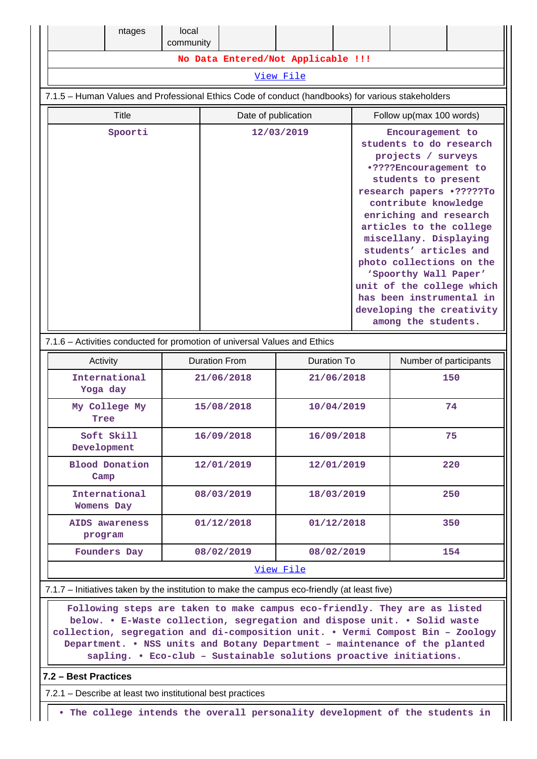| ntages                                                                                            | local<br>community |                      |                                                                    |  |                                                                                                                                                                                                                                                                                                                                                                                                                                                  |  |  |
|---------------------------------------------------------------------------------------------------|--------------------|----------------------|--------------------------------------------------------------------|--|--------------------------------------------------------------------------------------------------------------------------------------------------------------------------------------------------------------------------------------------------------------------------------------------------------------------------------------------------------------------------------------------------------------------------------------------------|--|--|
|                                                                                                   |                    |                      | No Data Entered/Not Applicable !!!                                 |  |                                                                                                                                                                                                                                                                                                                                                                                                                                                  |  |  |
|                                                                                                   |                    |                      | View File                                                          |  |                                                                                                                                                                                                                                                                                                                                                                                                                                                  |  |  |
| 7.1.5 - Human Values and Professional Ethics Code of conduct (handbooks) for various stakeholders |                    |                      |                                                                    |  |                                                                                                                                                                                                                                                                                                                                                                                                                                                  |  |  |
| <b>Title</b>                                                                                      |                    |                      | Date of publication                                                |  | Follow up(max 100 words)                                                                                                                                                                                                                                                                                                                                                                                                                         |  |  |
| Spoorti                                                                                           |                    | 12/03/2019           |                                                                    |  | Encouragement to<br>students to do research<br>projects / surveys<br>.????Encouragement to<br>students to present<br>research papers .?????To<br>contribute knowledge<br>enriching and research<br>articles to the college<br>miscellany. Displaying<br>students' articles and<br>photo collections on the<br>'Spoorthy Wall Paper'<br>unit of the college which<br>has been instrumental in<br>developing the creativity<br>among the students. |  |  |
| 7.1.6 - Activities conducted for promotion of universal Values and Ethics                         |                    |                      |                                                                    |  |                                                                                                                                                                                                                                                                                                                                                                                                                                                  |  |  |
| Activity                                                                                          |                    | <b>Duration From</b> | <b>Duration To</b>                                                 |  | Number of participants                                                                                                                                                                                                                                                                                                                                                                                                                           |  |  |
| International<br>Yoga day                                                                         |                    | 21/06/2018           | 21/06/2018                                                         |  | 150                                                                                                                                                                                                                                                                                                                                                                                                                                              |  |  |
| My College My<br>Tree                                                                             |                    | 15/08/2018           | 10/04/2019                                                         |  | 74                                                                                                                                                                                                                                                                                                                                                                                                                                               |  |  |
| Soft Skill<br>Development                                                                         |                    | 16/09/2018           | 16/09/2018                                                         |  | 75                                                                                                                                                                                                                                                                                                                                                                                                                                               |  |  |
| <b>Blood Donation</b><br>Camp                                                                     |                    | 12/01/2019           | 12/01/2019                                                         |  | 220                                                                                                                                                                                                                                                                                                                                                                                                                                              |  |  |
| International<br>Womens Day                                                                       |                    | 08/03/2019           | 18/03/2019                                                         |  | 250                                                                                                                                                                                                                                                                                                                                                                                                                                              |  |  |
| AIDS awareness<br>program                                                                         |                    | 01/12/2018           | 01/12/2018                                                         |  | 350                                                                                                                                                                                                                                                                                                                                                                                                                                              |  |  |
| Founders Day                                                                                      |                    | 08/02/2019           | 08/02/2019                                                         |  | 154                                                                                                                                                                                                                                                                                                                                                                                                                                              |  |  |
|                                                                                                   |                    |                      | View File                                                          |  |                                                                                                                                                                                                                                                                                                                                                                                                                                                  |  |  |
| 7.1.7 – Initiatives taken by the institution to make the campus eco-friendly (at least five)      |                    |                      |                                                                    |  |                                                                                                                                                                                                                                                                                                                                                                                                                                                  |  |  |
|                                                                                                   |                    |                      | sapling. . Eco-club - Sustainable solutions proactive initiations. |  | Following steps are taken to make campus eco-friendly. They are as listed<br>below. . E-Waste collection, segregation and dispose unit. . Solid waste<br>collection, segregation and di-composition unit. . Vermi Compost Bin - Zoology<br>Department. . NSS units and Botany Department - maintenance of the planted                                                                                                                            |  |  |

## **7.2 – Best Practices**

 $\mathbf{I}$ 

7.2.1 – Describe at least two institutional best practices

**• The college intends the overall personality development of the students in**

Ш